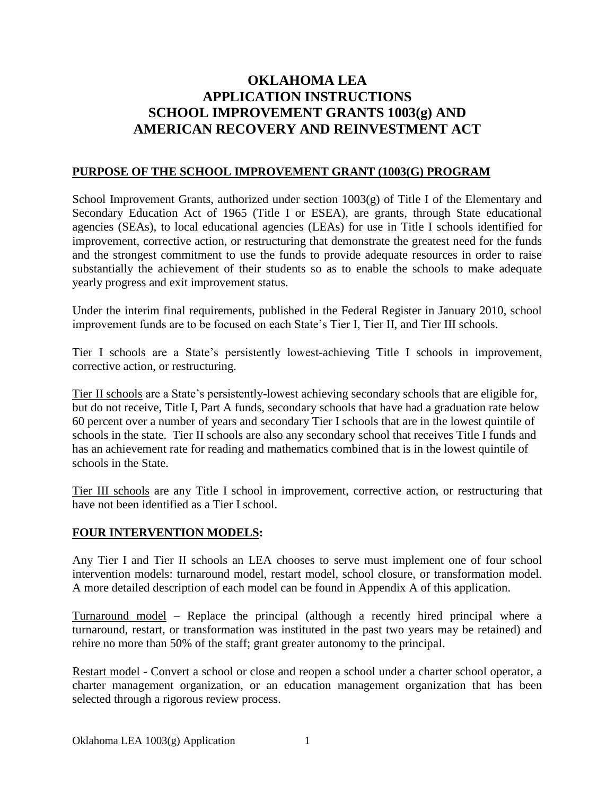# **OKLAHOMA LEA APPLICATION INSTRUCTIONS SCHOOL IMPROVEMENT GRANTS 1003(g) AND AMERICAN RECOVERY AND REINVESTMENT ACT**

#### **PURPOSE OF THE SCHOOL IMPROVEMENT GRANT (1003(G) PROGRAM**

School Improvement Grants, authorized under section  $1003(g)$  of Title I of the Elementary and Secondary Education Act of 1965 (Title I or ESEA), are grants, through State educational agencies (SEAs), to local educational agencies (LEAs) for use in Title I schools identified for improvement, corrective action, or restructuring that demonstrate the greatest need for the funds and the strongest commitment to use the funds to provide adequate resources in order to raise substantially the achievement of their students so as to enable the schools to make adequate yearly progress and exit improvement status.

Under the interim final requirements, published in the Federal Register in January 2010, school improvement funds are to be focused on each State's Tier I, Tier II, and Tier III schools.

Tier I schools are a State's persistently lowest-achieving Title I schools in improvement, corrective action, or restructuring.

Tier II schools are a State's persistently-lowest achieving secondary schools that are eligible for, but do not receive, Title I, Part A funds, secondary schools that have had a graduation rate below 60 percent over a number of years and secondary Tier I schools that are in the lowest quintile of schools in the state. Tier II schools are also any secondary school that receives Title I funds and has an achievement rate for reading and mathematics combined that is in the lowest quintile of schools in the State.

Tier III schools are any Title I school in improvement, corrective action, or restructuring that have not been identified as a Tier I school.

#### **FOUR INTERVENTION MODELS:**

Any Tier I and Tier II schools an LEA chooses to serve must implement one of four school intervention models: turnaround model, restart model, school closure, or transformation model. A more detailed description of each model can be found in Appendix A of this application.

Turnaround model – Replace the principal (although a recently hired principal where a turnaround, restart, or transformation was instituted in the past two years may be retained) and rehire no more than 50% of the staff; grant greater autonomy to the principal.

Restart model - Convert a school or close and reopen a school under a charter school operator, a charter management organization, or an education management organization that has been selected through a rigorous review process.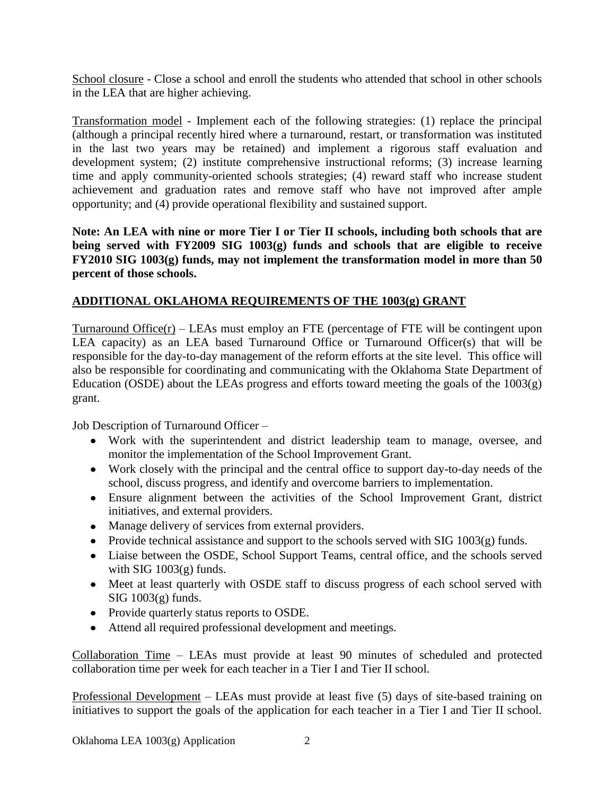School closure - Close a school and enroll the students who attended that school in other schools in the LEA that are higher achieving.

Transformation model - Implement each of the following strategies: (1) replace the principal (although a principal recently hired where a turnaround, restart, or transformation was instituted in the last two years may be retained) and implement a rigorous staff evaluation and development system; (2) institute comprehensive instructional reforms; (3) increase learning time and apply community-oriented schools strategies; (4) reward staff who increase student achievement and graduation rates and remove staff who have not improved after ample opportunity; and (4) provide operational flexibility and sustained support.

**Note: An LEA with nine or more Tier I or Tier II schools, including both schools that are being served with FY2009 SIG 1003(g) funds and schools that are eligible to receive FY2010 SIG 1003(g) funds, may not implement the transformation model in more than 50 percent of those schools.**

## **ADDITIONAL OKLAHOMA REQUIREMENTS OF THE 1003(g) GRANT**

Turnaround Office $(r)$  – LEAs must employ an FTE (percentage of FTE will be contingent upon LEA capacity) as an LEA based Turnaround Office or Turnaround Officer(s) that will be responsible for the day-to-day management of the reform efforts at the site level. This office will also be responsible for coordinating and communicating with the Oklahoma State Department of Education (OSDE) about the LEAs progress and efforts toward meeting the goals of the  $1003(g)$ grant.

Job Description of Turnaround Officer –

- Work with the superintendent and district leadership team to manage, oversee, and monitor the implementation of the School Improvement Grant.
- Work closely with the principal and the central office to support day-to-day needs of the school, discuss progress, and identify and overcome barriers to implementation.
- Ensure alignment between the activities of the School Improvement Grant, district initiatives, and external providers.
- Manage delivery of services from external providers.
- Provide technical assistance and support to the schools served with  $SIG 1003(g)$  funds.
- Liaise between the OSDE, School Support Teams, central office, and the schools served with  $SIG 1003(g)$  funds.
- Meet at least quarterly with OSDE staff to discuss progress of each school served with  $SIG 1003(g)$  funds.
- Provide quarterly status reports to OSDE.
- Attend all required professional development and meetings.

Collaboration Time – LEAs must provide at least 90 minutes of scheduled and protected collaboration time per week for each teacher in a Tier I and Tier II school.

Professional Development – LEAs must provide at least five (5) days of site-based training on initiatives to support the goals of the application for each teacher in a Tier I and Tier II school.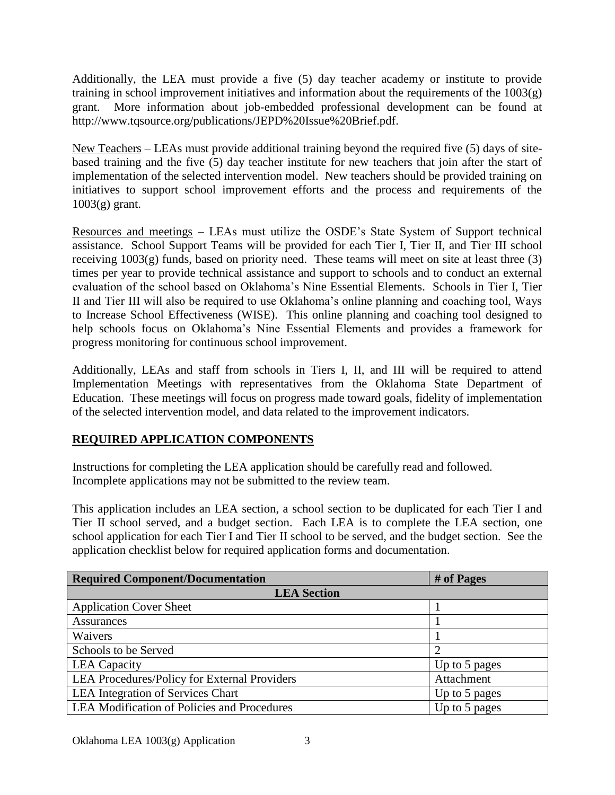Additionally, the LEA must provide a five (5) day teacher academy or institute to provide training in school improvement initiatives and information about the requirements of the  $1003(g)$ grant. More information about job-embedded professional development can be found at http://www.tqsource.org/publications/JEPD%20Issue%20Brief.pdf.

New Teachers – LEAs must provide additional training beyond the required five (5) days of sitebased training and the five (5) day teacher institute for new teachers that join after the start of implementation of the selected intervention model. New teachers should be provided training on initiatives to support school improvement efforts and the process and requirements of the 1003(g) grant.

Resources and meetings – LEAs must utilize the OSDE's State System of Support technical assistance. School Support Teams will be provided for each Tier I, Tier II, and Tier III school receiving 1003(g) funds, based on priority need. These teams will meet on site at least three (3) times per year to provide technical assistance and support to schools and to conduct an external evaluation of the school based on Oklahoma's Nine Essential Elements. Schools in Tier I, Tier II and Tier III will also be required to use Oklahoma's online planning and coaching tool, Ways to Increase School Effectiveness (WISE). This online planning and coaching tool designed to help schools focus on Oklahoma's Nine Essential Elements and provides a framework for progress monitoring for continuous school improvement.

Additionally, LEAs and staff from schools in Tiers I, II, and III will be required to attend Implementation Meetings with representatives from the Oklahoma State Department of Education. These meetings will focus on progress made toward goals, fidelity of implementation of the selected intervention model, and data related to the improvement indicators.

# **REQUIRED APPLICATION COMPONENTS**

Instructions for completing the LEA application should be carefully read and followed. Incomplete applications may not be submitted to the review team.

This application includes an LEA section, a school section to be duplicated for each Tier I and Tier II school served, and a budget section. Each LEA is to complete the LEA section, one school application for each Tier I and Tier II school to be served, and the budget section. See the application checklist below for required application forms and documentation.

| <b>Required Component/Documentation</b>      | # of Pages    |
|----------------------------------------------|---------------|
| <b>LEA</b> Section                           |               |
| <b>Application Cover Sheet</b>               |               |
| Assurances                                   |               |
| Waivers                                      |               |
| Schools to be Served                         |               |
| <b>LEA</b> Capacity                          | Up to 5 pages |
| LEA Procedures/Policy for External Providers | Attachment    |
| <b>LEA</b> Integration of Services Chart     | Up to 5 pages |
| LEA Modification of Policies and Procedures  | Up to 5 pages |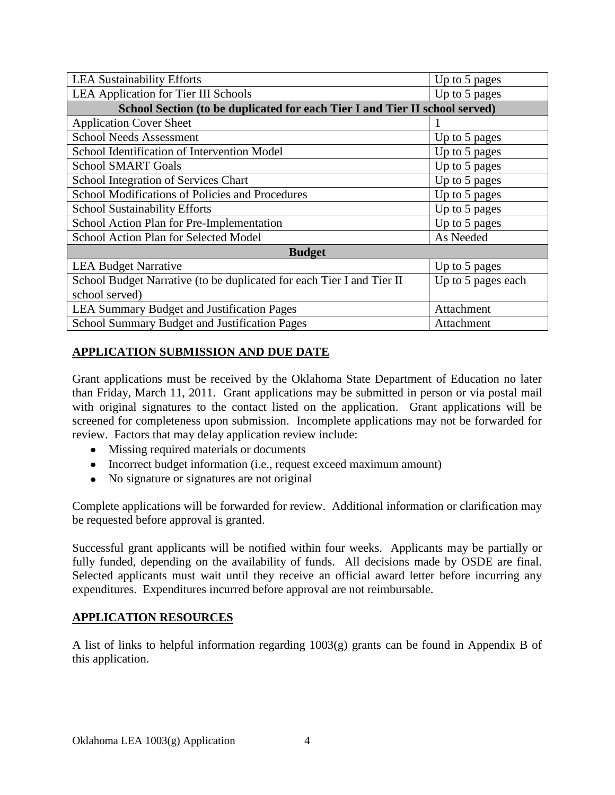| <b>LEA Sustainability Efforts</b>                                           | Up to 5 pages      |  |
|-----------------------------------------------------------------------------|--------------------|--|
| <b>LEA Application for Tier III Schools</b>                                 | Up to 5 pages      |  |
| School Section (to be duplicated for each Tier I and Tier II school served) |                    |  |
| <b>Application Cover Sheet</b>                                              |                    |  |
| <b>School Needs Assessment</b>                                              | Up to 5 pages      |  |
| School Identification of Intervention Model                                 | Up to 5 pages      |  |
| <b>School SMART Goals</b>                                                   | Up to 5 pages      |  |
| School Integration of Services Chart                                        | Up to 5 pages      |  |
| School Modifications of Policies and Procedures                             | Up to 5 pages      |  |
| <b>School Sustainability Efforts</b>                                        | Up to 5 pages      |  |
| School Action Plan for Pre-Implementation                                   | Up to 5 pages      |  |
| School Action Plan for Selected Model                                       | As Needed          |  |
| <b>Budget</b>                                                               |                    |  |
| <b>LEA Budget Narrative</b>                                                 | Up to 5 pages      |  |
| School Budget Narrative (to be duplicated for each Tier I and Tier II       | Up to 5 pages each |  |
| school served)                                                              |                    |  |
| <b>LEA Summary Budget and Justification Pages</b>                           | Attachment         |  |
| School Summary Budget and Justification Pages                               | Attachment         |  |

# **APPLICATION SUBMISSION AND DUE DATE**

Grant applications must be received by the Oklahoma State Department of Education no later than Friday, March 11, 2011. Grant applications may be submitted in person or via postal mail with original signatures to the contact listed on the application. Grant applications will be screened for completeness upon submission. Incomplete applications may not be forwarded for review. Factors that may delay application review include:

- Missing required materials or documents
- Incorrect budget information (i.e., request exceed maximum amount)
- No signature or signatures are not original

Complete applications will be forwarded for review. Additional information or clarification may be requested before approval is granted.

Successful grant applicants will be notified within four weeks. Applicants may be partially or fully funded, depending on the availability of funds. All decisions made by OSDE are final. Selected applicants must wait until they receive an official award letter before incurring any expenditures. Expenditures incurred before approval are not reimbursable.

#### **APPLICATION RESOURCES**

A list of links to helpful information regarding 1003(g) grants can be found in Appendix B of this application.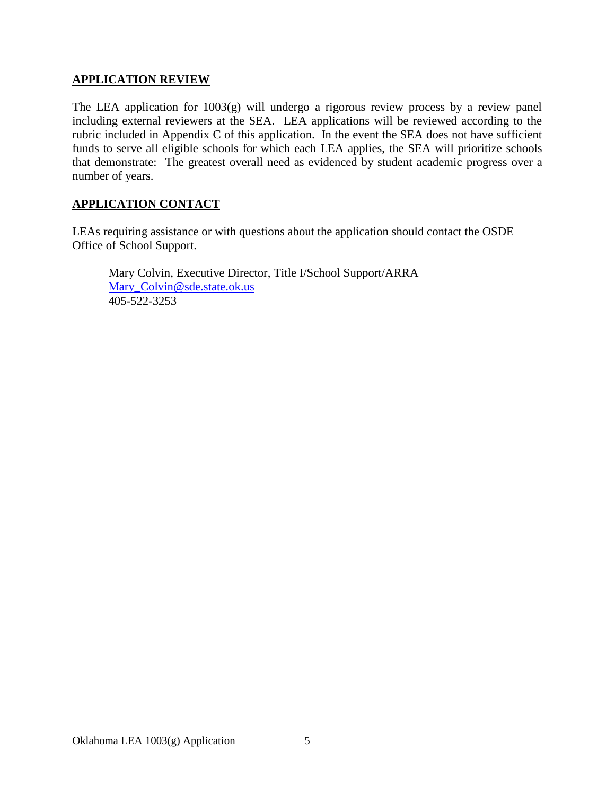### **APPLICATION REVIEW**

The LEA application for 1003(g) will undergo a rigorous review process by a review panel including external reviewers at the SEA. LEA applications will be reviewed according to the rubric included in Appendix C of this application. In the event the SEA does not have sufficient funds to serve all eligible schools for which each LEA applies, the SEA will prioritize schools that demonstrate: The greatest overall need as evidenced by student academic progress over a number of years.

### **APPLICATION CONTACT**

LEAs requiring assistance or with questions about the application should contact the OSDE Office of School Support.

Mary Colvin, Executive Director, Title I/School Support/ARRA [Mary\\_Colvin@sde.state.ok.us](mailto:Mary_Colvin@sde.state.ok.us) 405-522-3253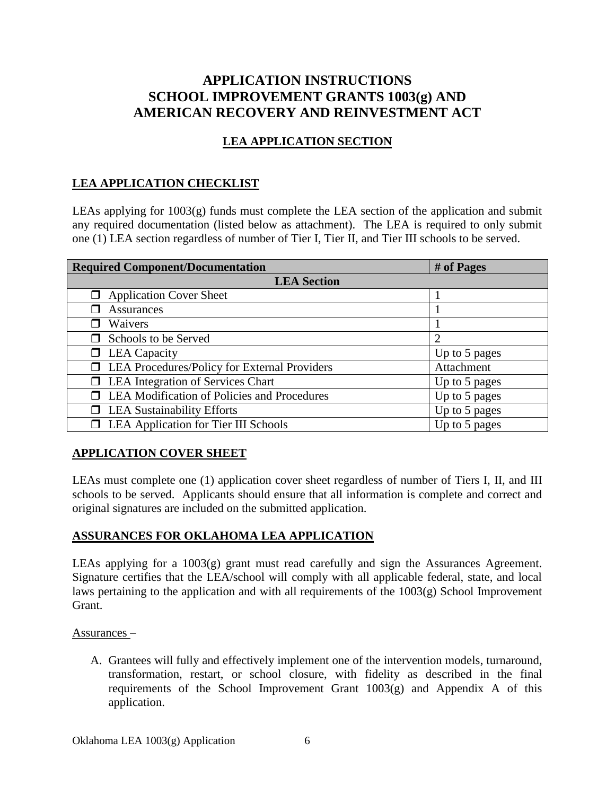# **APPLICATION INSTRUCTIONS SCHOOL IMPROVEMENT GRANTS 1003(g) AND AMERICAN RECOVERY AND REINVESTMENT ACT**

# **LEA APPLICATION SECTION**

### **LEA APPLICATION CHECKLIST**

LEAs applying for 1003(g) funds must complete the LEA section of the application and submit any required documentation (listed below as attachment). The LEA is required to only submit one (1) LEA section regardless of number of Tier I, Tier II, and Tier III schools to be served.

| <b>Required Component/Documentation</b>      | # of Pages    |
|----------------------------------------------|---------------|
| <b>LEA</b> Section                           |               |
| <b>Application Cover Sheet</b>               |               |
| <b>Assurances</b>                            |               |
| Waivers                                      |               |
| Schools to be Served                         | 2             |
| $\Box$ LEA Capacity                          | Up to 5 pages |
| LEA Procedures/Policy for External Providers | Attachment    |
| <b>LEA</b> Integration of Services Chart     | Up to 5 pages |
| LEA Modification of Policies and Procedures  | Up to 5 pages |
| <b>LEA Sustainability Efforts</b>            | Up to 5 pages |
| LEA Application for Tier III Schools         | Up to 5 pages |

# **APPLICATION COVER SHEET**

LEAs must complete one (1) application cover sheet regardless of number of Tiers I, II, and III schools to be served. Applicants should ensure that all information is complete and correct and original signatures are included on the submitted application.

### **ASSURANCES FOR OKLAHOMA LEA APPLICATION**

LEAs applying for a  $1003(g)$  grant must read carefully and sign the Assurances Agreement. Signature certifies that the LEA/school will comply with all applicable federal, state, and local laws pertaining to the application and with all requirements of the 1003(g) School Improvement Grant.

Assurances –

A. Grantees will fully and effectively implement one of the intervention models, turnaround, transformation, restart, or school closure, with fidelity as described in the final requirements of the School Improvement Grant  $1003(g)$  and Appendix A of this application.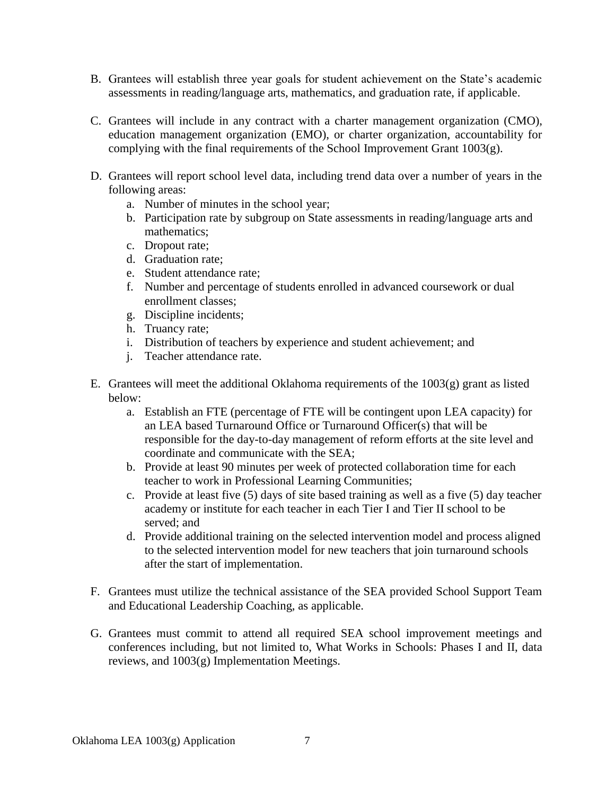- B. Grantees will establish three year goals for student achievement on the State's academic assessments in reading/language arts, mathematics, and graduation rate, if applicable.
- C. Grantees will include in any contract with a charter management organization (CMO), education management organization (EMO), or charter organization, accountability for complying with the final requirements of the School Improvement Grant 1003(g).
- D. Grantees will report school level data, including trend data over a number of years in the following areas:
	- a. Number of minutes in the school year;
	- b. Participation rate by subgroup on State assessments in reading/language arts and mathematics;
	- c. Dropout rate;
	- d. Graduation rate;
	- e. Student attendance rate;
	- f. Number and percentage of students enrolled in advanced coursework or dual enrollment classes;
	- g. Discipline incidents;
	- h. Truancy rate;
	- i. Distribution of teachers by experience and student achievement; and
	- j. Teacher attendance rate.
- E. Grantees will meet the additional Oklahoma requirements of the  $1003(g)$  grant as listed below:
	- a. Establish an FTE (percentage of FTE will be contingent upon LEA capacity) for an LEA based Turnaround Office or Turnaround Officer(s) that will be responsible for the day-to-day management of reform efforts at the site level and coordinate and communicate with the SEA;
	- b. Provide at least 90 minutes per week of protected collaboration time for each teacher to work in Professional Learning Communities;
	- c. Provide at least five (5) days of site based training as well as a five (5) day teacher academy or institute for each teacher in each Tier I and Tier II school to be served; and
	- d. Provide additional training on the selected intervention model and process aligned to the selected intervention model for new teachers that join turnaround schools after the start of implementation.
- F. Grantees must utilize the technical assistance of the SEA provided School Support Team and Educational Leadership Coaching, as applicable.
- G. Grantees must commit to attend all required SEA school improvement meetings and conferences including, but not limited to, What Works in Schools: Phases I and II, data reviews, and 1003(g) Implementation Meetings.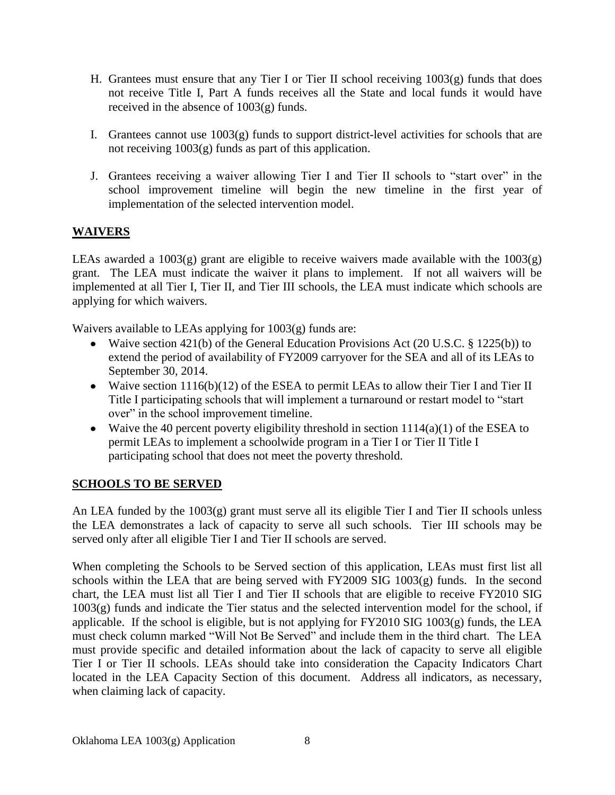- H. Grantees must ensure that any Tier I or Tier II school receiving  $1003(g)$  funds that does not receive Title I, Part A funds receives all the State and local funds it would have received in the absence of 1003(g) funds.
- I. Grantees cannot use  $1003(g)$  funds to support district-level activities for schools that are not receiving 1003(g) funds as part of this application.
- J. Grantees receiving a waiver allowing Tier I and Tier II schools to "start over" in the school improvement timeline will begin the new timeline in the first year of implementation of the selected intervention model.

# **WAIVERS**

LEAs awarded a 1003(g) grant are eligible to receive waivers made available with the 1003(g) grant. The LEA must indicate the waiver it plans to implement. If not all waivers will be implemented at all Tier I, Tier II, and Tier III schools, the LEA must indicate which schools are applying for which waivers.

Waivers available to LEAs applying for 1003(g) funds are:

- Waive section 421(b) of the General Education Provisions Act (20 U.S.C. § 1225(b)) to extend the period of availability of FY2009 carryover for the SEA and all of its LEAs to September 30, 2014.
- Waive section 1116(b)(12) of the ESEA to permit LEAs to allow their Tier I and Tier II Title I participating schools that will implement a turnaround or restart model to "start over" in the school improvement timeline.
- Waive the 40 percent poverty eligibility threshold in section  $1114(a)(1)$  of the ESEA to permit LEAs to implement a schoolwide program in a Tier I or Tier II Title I participating school that does not meet the poverty threshold.

# **SCHOOLS TO BE SERVED**

An LEA funded by the 1003(g) grant must serve all its eligible Tier I and Tier II schools unless the LEA demonstrates a lack of capacity to serve all such schools. Tier III schools may be served only after all eligible Tier I and Tier II schools are served.

When completing the Schools to be Served section of this application, LEAs must first list all schools within the LEA that are being served with FY2009 SIG 1003(g) funds. In the second chart, the LEA must list all Tier I and Tier II schools that are eligible to receive FY2010 SIG 1003(g) funds and indicate the Tier status and the selected intervention model for the school, if applicable. If the school is eligible, but is not applying for FY2010 SIG 1003(g) funds, the LEA must check column marked "Will Not Be Served" and include them in the third chart. The LEA must provide specific and detailed information about the lack of capacity to serve all eligible Tier I or Tier II schools. LEAs should take into consideration the Capacity Indicators Chart located in the LEA Capacity Section of this document. Address all indicators, as necessary, when claiming lack of capacity.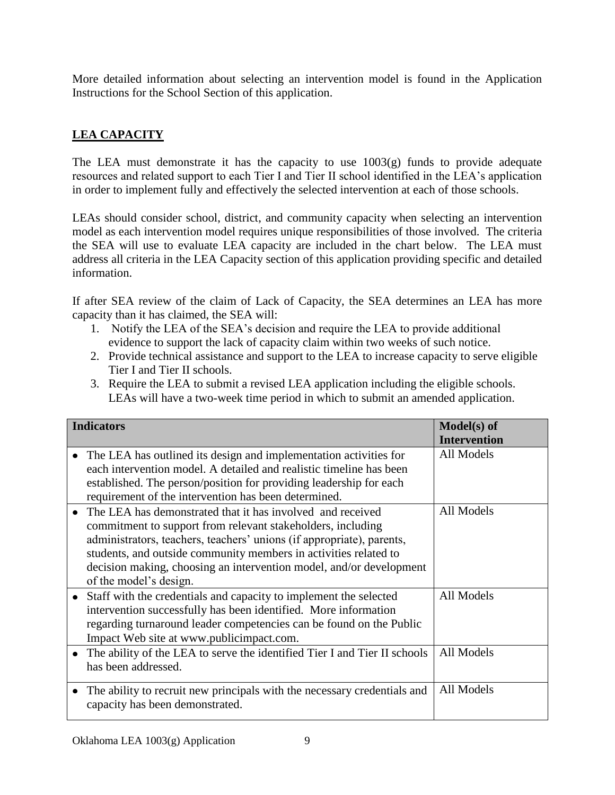More detailed information about selecting an intervention model is found in the Application Instructions for the School Section of this application.

# **LEA CAPACITY**

The LEA must demonstrate it has the capacity to use  $1003(g)$  funds to provide adequate resources and related support to each Tier I and Tier II school identified in the LEA's application in order to implement fully and effectively the selected intervention at each of those schools.

LEAs should consider school, district, and community capacity when selecting an intervention model as each intervention model requires unique responsibilities of those involved. The criteria the SEA will use to evaluate LEA capacity are included in the chart below. The LEA must address all criteria in the LEA Capacity section of this application providing specific and detailed information.

If after SEA review of the claim of Lack of Capacity, the SEA determines an LEA has more capacity than it has claimed, the SEA will:

- 1. Notify the LEA of the SEA's decision and require the LEA to provide additional evidence to support the lack of capacity claim within two weeks of such notice.
- 2. Provide technical assistance and support to the LEA to increase capacity to serve eligible Tier I and Tier II schools.
- 3. Require the LEA to submit a revised LEA application including the eligible schools. LEAs will have a two-week time period in which to submit an amended application.

| <b>Indicators</b>                                                                                                                                                                                                                                                                                                                                                       | Model(s) of<br><b>Intervention</b> |
|-------------------------------------------------------------------------------------------------------------------------------------------------------------------------------------------------------------------------------------------------------------------------------------------------------------------------------------------------------------------------|------------------------------------|
| The LEA has outlined its design and implementation activities for<br>each intervention model. A detailed and realistic timeline has been<br>established. The person/position for providing leadership for each<br>requirement of the intervention has been determined.                                                                                                  | All Models                         |
| The LEA has demonstrated that it has involved and received<br>commitment to support from relevant stakeholders, including<br>administrators, teachers, teachers' unions (if appropriate), parents,<br>students, and outside community members in activities related to<br>decision making, choosing an intervention model, and/or development<br>of the model's design. | All Models                         |
| Staff with the credentials and capacity to implement the selected<br>intervention successfully has been identified. More information<br>regarding turnaround leader competencies can be found on the Public<br>Impact Web site at www.publicimpact.com.                                                                                                                 | All Models                         |
| The ability of the LEA to serve the identified Tier I and Tier II schools<br>has been addressed.                                                                                                                                                                                                                                                                        | All Models                         |
| The ability to recruit new principals with the necessary credentials and<br>capacity has been demonstrated.                                                                                                                                                                                                                                                             | All Models                         |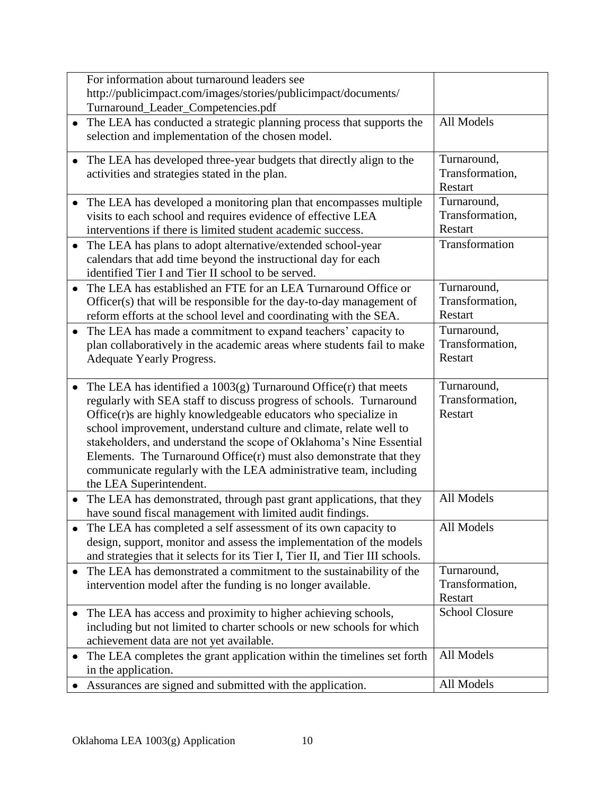| For information about turnaround leaders see<br>http://publicimpact.com/images/stories/publicimpact/documents/                                                                                                                                                                                                                                                                                                                                                                                                          |                                           |
|-------------------------------------------------------------------------------------------------------------------------------------------------------------------------------------------------------------------------------------------------------------------------------------------------------------------------------------------------------------------------------------------------------------------------------------------------------------------------------------------------------------------------|-------------------------------------------|
| Turnaround_Leader_Competencies.pdf                                                                                                                                                                                                                                                                                                                                                                                                                                                                                      |                                           |
| The LEA has conducted a strategic planning process that supports the<br>$\bullet$<br>selection and implementation of the chosen model.                                                                                                                                                                                                                                                                                                                                                                                  | All Models                                |
| The LEA has developed three-year budgets that directly align to the<br>$\bullet$<br>activities and strategies stated in the plan.                                                                                                                                                                                                                                                                                                                                                                                       | Turnaround,<br>Transformation,<br>Restart |
| The LEA has developed a monitoring plan that encompasses multiple<br>visits to each school and requires evidence of effective LEA<br>interventions if there is limited student academic success.                                                                                                                                                                                                                                                                                                                        | Turnaround,<br>Transformation,<br>Restart |
| The LEA has plans to adopt alternative/extended school-year<br>$\bullet$<br>calendars that add time beyond the instructional day for each<br>identified Tier I and Tier II school to be served.                                                                                                                                                                                                                                                                                                                         | Transformation                            |
| The LEA has established an FTE for an LEA Turnaround Office or<br>$\bullet$<br>Officer(s) that will be responsible for the day-to-day management of<br>reform efforts at the school level and coordinating with the SEA.                                                                                                                                                                                                                                                                                                | Turnaround,<br>Transformation,<br>Restart |
| The LEA has made a commitment to expand teachers' capacity to<br>$\bullet$<br>plan collaboratively in the academic areas where students fail to make<br>Adequate Yearly Progress.                                                                                                                                                                                                                                                                                                                                       | Turnaround,<br>Transformation,<br>Restart |
|                                                                                                                                                                                                                                                                                                                                                                                                                                                                                                                         |                                           |
| The LEA has identified a $1003(g)$ Turnaround Office $(r)$ that meets<br>$\bullet$<br>regularly with SEA staff to discuss progress of schools. Turnaround<br>Office(r)s are highly knowledgeable educators who specialize in<br>school improvement, understand culture and climate, relate well to<br>stakeholders, and understand the scope of Oklahoma's Nine Essential<br>Elements. The Turnaround Office $(r)$ must also demonstrate that they<br>communicate regularly with the LEA administrative team, including | Turnaround,<br>Transformation,<br>Restart |
| the LEA Superintendent.<br>The LEA has demonstrated, through past grant applications, that they<br>$\bullet$<br>have sound fiscal management with limited audit findings.                                                                                                                                                                                                                                                                                                                                               | All Models                                |
| The LEA has completed a self assessment of its own capacity to<br>design, support, monitor and assess the implementation of the models<br>and strategies that it selects for its Tier I, Tier II, and Tier III schools.                                                                                                                                                                                                                                                                                                 | All Models                                |
| The LEA has demonstrated a commitment to the sustainability of the<br>٠<br>intervention model after the funding is no longer available.                                                                                                                                                                                                                                                                                                                                                                                 | Turnaround,<br>Transformation,<br>Restart |
| The LEA has access and proximity to higher achieving schools,<br>$\bullet$<br>including but not limited to charter schools or new schools for which<br>achievement data are not yet available.                                                                                                                                                                                                                                                                                                                          | <b>School Closure</b>                     |
| The LEA completes the grant application within the timelines set forth<br>٠<br>in the application.<br>Assurances are signed and submitted with the application.                                                                                                                                                                                                                                                                                                                                                         | All Models<br>All Models                  |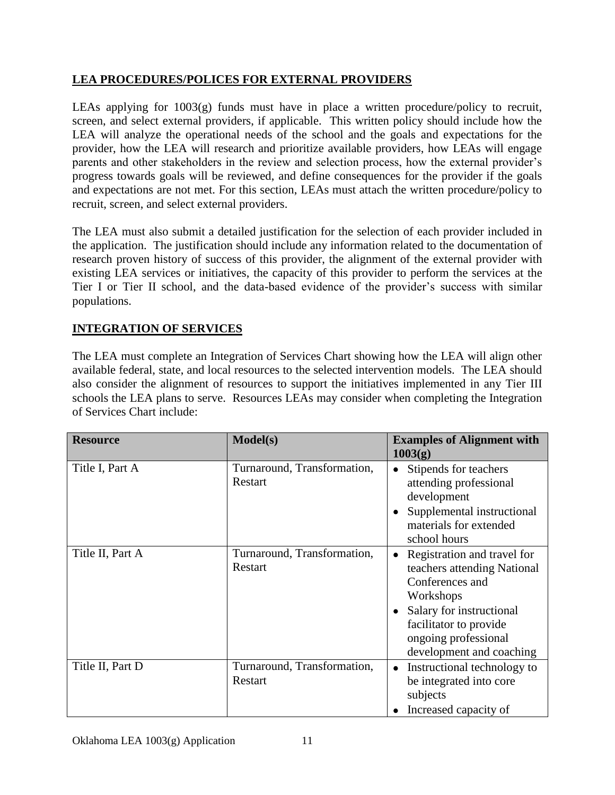# **LEA PROCEDURES/POLICES FOR EXTERNAL PROVIDERS**

LEAs applying for 1003(g) funds must have in place a written procedure/policy to recruit, screen, and select external providers, if applicable. This written policy should include how the LEA will analyze the operational needs of the school and the goals and expectations for the provider, how the LEA will research and prioritize available providers, how LEAs will engage parents and other stakeholders in the review and selection process, how the external provider's progress towards goals will be reviewed, and define consequences for the provider if the goals and expectations are not met. For this section, LEAs must attach the written procedure/policy to recruit, screen, and select external providers.

The LEA must also submit a detailed justification for the selection of each provider included in the application. The justification should include any information related to the documentation of research proven history of success of this provider, the alignment of the external provider with existing LEA services or initiatives, the capacity of this provider to perform the services at the Tier I or Tier II school, and the data-based evidence of the provider's success with similar populations.

# **INTEGRATION OF SERVICES**

The LEA must complete an Integration of Services Chart showing how the LEA will align other available federal, state, and local resources to the selected intervention models. The LEA should also consider the alignment of resources to support the initiatives implemented in any Tier III schools the LEA plans to serve. Resources LEAs may consider when completing the Integration of Services Chart include:

| <b>Resource</b>  | <b>Model(s)</b>                        | <b>Examples of Alignment with</b><br>1003(g)                                                                                                                                                                      |
|------------------|----------------------------------------|-------------------------------------------------------------------------------------------------------------------------------------------------------------------------------------------------------------------|
| Title I, Part A  | Turnaround, Transformation,<br>Restart | Stipends for teachers<br>attending professional<br>development<br>Supplemental instructional<br>materials for extended<br>school hours                                                                            |
| Title II, Part A | Turnaround, Transformation,<br>Restart | Registration and travel for<br>$\bullet$<br>teachers attending National<br>Conferences and<br>Workshops<br>Salary for instructional<br>facilitator to provide<br>ongoing professional<br>development and coaching |
| Title II, Part D | Turnaround, Transformation,<br>Restart | Instructional technology to<br>be integrated into core<br>subjects<br>Increased capacity of                                                                                                                       |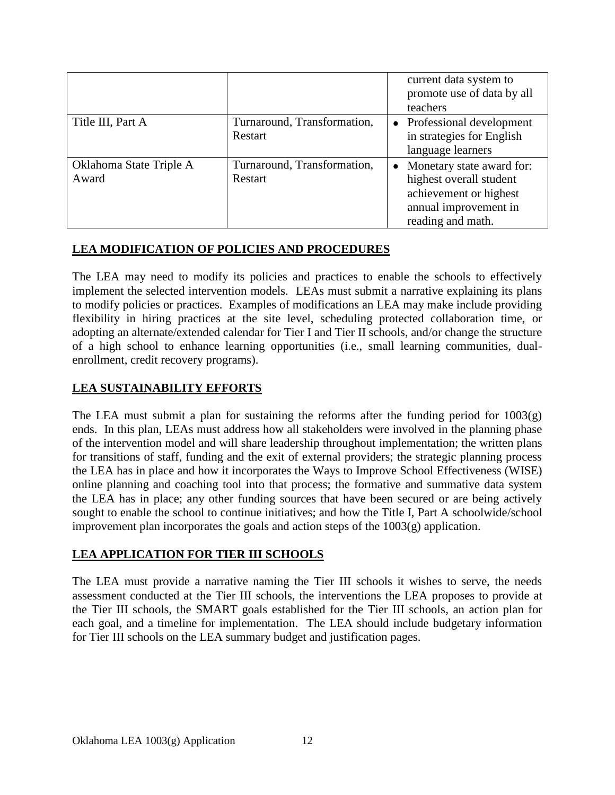|                                  |                                        | current data system to<br>promote use of data by all<br>teachers                                                             |
|----------------------------------|----------------------------------------|------------------------------------------------------------------------------------------------------------------------------|
| Title III, Part A                | Turnaround, Transformation,<br>Restart | Professional development<br>in strategies for English<br>language learners                                                   |
| Oklahoma State Triple A<br>Award | Turnaround, Transformation,<br>Restart | Monetary state award for:<br>highest overall student<br>achievement or highest<br>annual improvement in<br>reading and math. |

# **LEA MODIFICATION OF POLICIES AND PROCEDURES**

The LEA may need to modify its policies and practices to enable the schools to effectively implement the selected intervention models. LEAs must submit a narrative explaining its plans to modify policies or practices. Examples of modifications an LEA may make include providing flexibility in hiring practices at the site level, scheduling protected collaboration time, or adopting an alternate/extended calendar for Tier I and Tier II schools, and/or change the structure of a high school to enhance learning opportunities (i.e., small learning communities, dualenrollment, credit recovery programs).

## **LEA SUSTAINABILITY EFFORTS**

The LEA must submit a plan for sustaining the reforms after the funding period for  $1003(g)$ ends. In this plan, LEAs must address how all stakeholders were involved in the planning phase of the intervention model and will share leadership throughout implementation; the written plans for transitions of staff, funding and the exit of external providers; the strategic planning process the LEA has in place and how it incorporates the Ways to Improve School Effectiveness (WISE) online planning and coaching tool into that process; the formative and summative data system the LEA has in place; any other funding sources that have been secured or are being actively sought to enable the school to continue initiatives; and how the Title I, Part A schoolwide/school improvement plan incorporates the goals and action steps of the 1003(g) application.

### **LEA APPLICATION FOR TIER III SCHOOLS**

The LEA must provide a narrative naming the Tier III schools it wishes to serve, the needs assessment conducted at the Tier III schools, the interventions the LEA proposes to provide at the Tier III schools, the SMART goals established for the Tier III schools, an action plan for each goal, and a timeline for implementation. The LEA should include budgetary information for Tier III schools on the LEA summary budget and justification pages.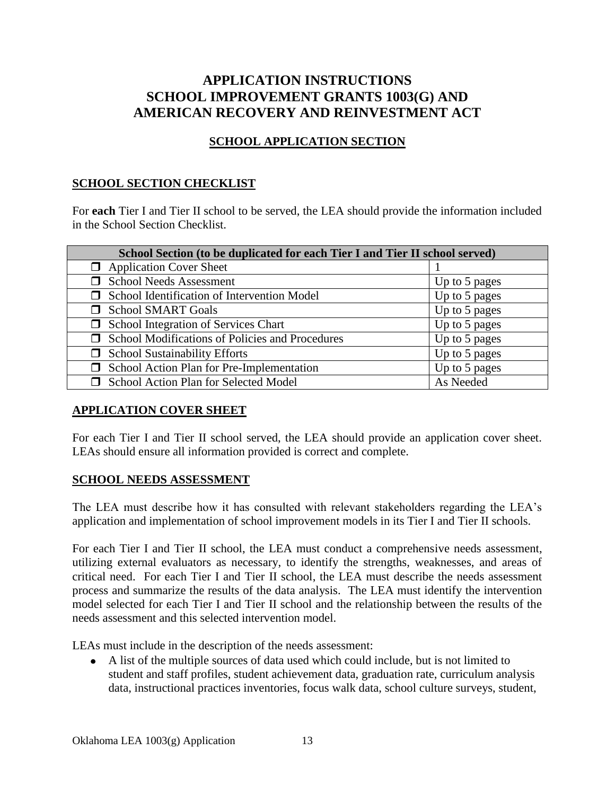# **APPLICATION INSTRUCTIONS SCHOOL IMPROVEMENT GRANTS 1003(G) AND AMERICAN RECOVERY AND REINVESTMENT ACT**

# **SCHOOL APPLICATION SECTION**

### **SCHOOL SECTION CHECKLIST**

For **each** Tier I and Tier II school to be served, the LEA should provide the information included in the School Section Checklist.

| School Section (to be duplicated for each Tier I and Tier II school served) |               |  |
|-----------------------------------------------------------------------------|---------------|--|
| $\Box$ Application Cover Sheet                                              |               |  |
| <b>School Needs Assessment</b>                                              | Up to 5 pages |  |
| School Identification of Intervention Model                                 | Up to 5 pages |  |
| <b>School SMART Goals</b>                                                   | Up to 5 pages |  |
| <b>School Integration of Services Chart</b>                                 | Up to 5 pages |  |
| <b>School Modifications of Policies and Procedures</b>                      | Up to 5 pages |  |
| <b>School Sustainability Efforts</b>                                        | Up to 5 pages |  |
| School Action Plan for Pre-Implementation                                   | Up to 5 pages |  |
| School Action Plan for Selected Model                                       | As Needed     |  |

### **APPLICATION COVER SHEET**

For each Tier I and Tier II school served, the LEA should provide an application cover sheet. LEAs should ensure all information provided is correct and complete.

### **SCHOOL NEEDS ASSESSMENT**

The LEA must describe how it has consulted with relevant stakeholders regarding the LEA's application and implementation of school improvement models in its Tier I and Tier II schools.

For each Tier I and Tier II school, the LEA must conduct a comprehensive needs assessment, utilizing external evaluators as necessary, to identify the strengths, weaknesses, and areas of critical need. For each Tier I and Tier II school, the LEA must describe the needs assessment process and summarize the results of the data analysis. The LEA must identify the intervention model selected for each Tier I and Tier II school and the relationship between the results of the needs assessment and this selected intervention model.

LEAs must include in the description of the needs assessment:

A list of the multiple sources of data used which could include, but is not limited to student and staff profiles, student achievement data, graduation rate, curriculum analysis data, instructional practices inventories, focus walk data, school culture surveys, student,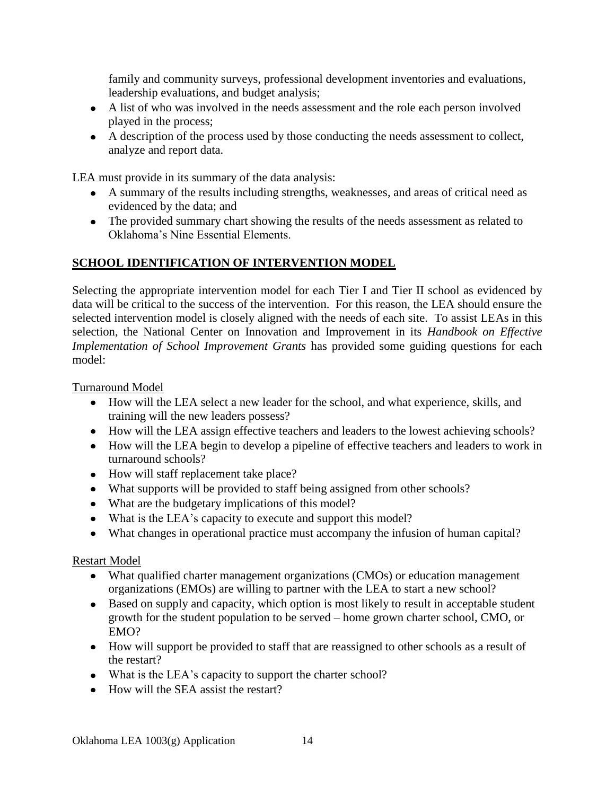family and community surveys, professional development inventories and evaluations, leadership evaluations, and budget analysis;

- A list of who was involved in the needs assessment and the role each person involved played in the process;
- A description of the process used by those conducting the needs assessment to collect, analyze and report data.

LEA must provide in its summary of the data analysis:

- A summary of the results including strengths, weaknesses, and areas of critical need as evidenced by the data; and
- The provided summary chart showing the results of the needs assessment as related to Oklahoma's Nine Essential Elements.

# **SCHOOL IDENTIFICATION OF INTERVENTION MODEL**

Selecting the appropriate intervention model for each Tier I and Tier II school as evidenced by data will be critical to the success of the intervention. For this reason, the LEA should ensure the selected intervention model is closely aligned with the needs of each site. To assist LEAs in this selection, the National Center on Innovation and Improvement in its *Handbook on Effective Implementation of School Improvement Grants* has provided some guiding questions for each model:

Turnaround Model

- How will the LEA select a new leader for the school, and what experience, skills, and training will the new leaders possess?
- How will the LEA assign effective teachers and leaders to the lowest achieving schools?
- How will the LEA begin to develop a pipeline of effective teachers and leaders to work in turnaround schools?
- How will staff replacement take place?
- What supports will be provided to staff being assigned from other schools?
- What are the budgetary implications of this model?
- What is the LEA's capacity to execute and support this model?
- What changes in operational practice must accompany the infusion of human capital?

# Restart Model

- What qualified charter management organizations (CMOs) or education management organizations (EMOs) are willing to partner with the LEA to start a new school?
- Based on supply and capacity, which option is most likely to result in acceptable student growth for the student population to be served – home grown charter school, CMO, or EMO?
- How will support be provided to staff that are reassigned to other schools as a result of the restart?
- What is the LEA's capacity to support the charter school?
- $\bullet$  How will the SEA assist the restart?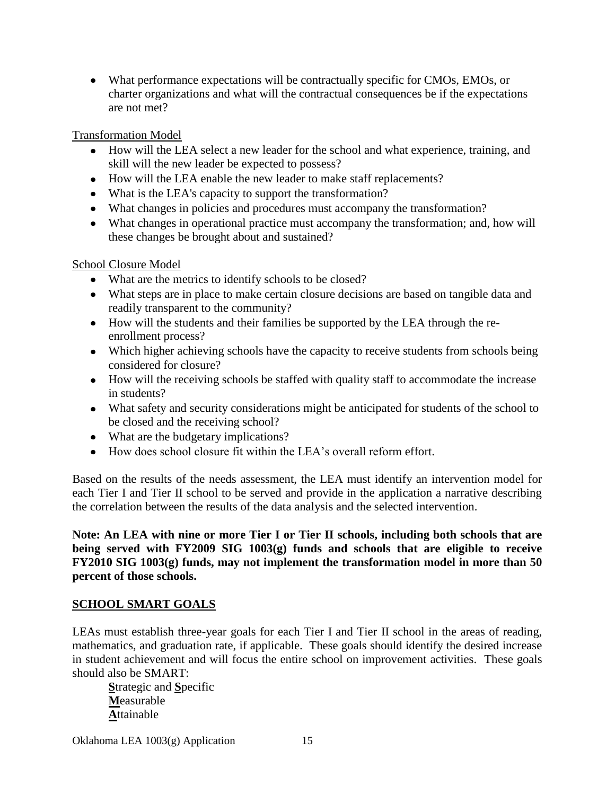What performance expectations will be contractually specific for CMOs, EMOs, or charter organizations and what will the contractual consequences be if the expectations are not met?

Transformation Model

- How will the LEA select a new leader for the school and what experience, training, and skill will the new leader be expected to possess?
- How will the LEA enable the new leader to make staff replacements?
- What is the LEA's capacity to support the transformation?
- What changes in policies and procedures must accompany the transformation?
- What changes in operational practice must accompany the transformation; and, how will these changes be brought about and sustained?

School Closure Model

- What are the metrics to identify schools to be closed?
- What steps are in place to make certain closure decisions are based on tangible data and readily transparent to the community?
- How will the students and their families be supported by the LEA through the reenrollment process?
- Which higher achieving schools have the capacity to receive students from schools being considered for closure?
- How will the receiving schools be staffed with quality staff to accommodate the increase in students?
- What safety and security considerations might be anticipated for students of the school to be closed and the receiving school?
- What are the budgetary implications?
- How does school closure fit within the LEA's overall reform effort.

Based on the results of the needs assessment, the LEA must identify an intervention model for each Tier I and Tier II school to be served and provide in the application a narrative describing the correlation between the results of the data analysis and the selected intervention.

**Note: An LEA with nine or more Tier I or Tier II schools, including both schools that are being served with FY2009 SIG 1003(g) funds and schools that are eligible to receive FY2010 SIG 1003(g) funds, may not implement the transformation model in more than 50 percent of those schools.**

# **SCHOOL SMART GOALS**

LEAs must establish three-year goals for each Tier I and Tier II school in the areas of reading, mathematics, and graduation rate, if applicable. These goals should identify the desired increase in student achievement and will focus the entire school on improvement activities. These goals should also be SMART:

**S**trategic and **S**pecific **M**easurable **A**ttainable

Oklahoma LEA 1003(g) Application 15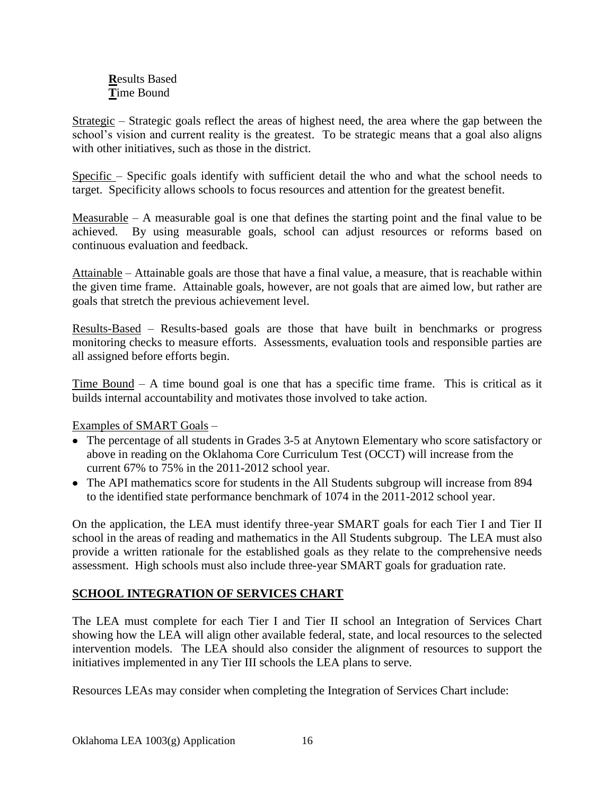### **R**esults Based **T**ime Bound

Strategic – Strategic goals reflect the areas of highest need, the area where the gap between the school's vision and current reality is the greatest. To be strategic means that a goal also aligns with other initiatives, such as those in the district.

Specific – Specific goals identify with sufficient detail the who and what the school needs to target. Specificity allows schools to focus resources and attention for the greatest benefit.

Measurable – A measurable goal is one that defines the starting point and the final value to be achieved. By using measurable goals, school can adjust resources or reforms based on continuous evaluation and feedback.

Attainable – Attainable goals are those that have a final value, a measure, that is reachable within the given time frame. Attainable goals, however, are not goals that are aimed low, but rather are goals that stretch the previous achievement level.

Results-Based – Results-based goals are those that have built in benchmarks or progress monitoring checks to measure efforts. Assessments, evaluation tools and responsible parties are all assigned before efforts begin.

Time Bound  $- A$  time bound goal is one that has a specific time frame. This is critical as it builds internal accountability and motivates those involved to take action.

Examples of SMART Goals –

- The percentage of all students in Grades 3-5 at Anytown Elementary who score satisfactory or above in reading on the Oklahoma Core Curriculum Test (OCCT) will increase from the current 67% to 75% in the 2011-2012 school year.
- The API mathematics score for students in the All Students subgroup will increase from 894 to the identified state performance benchmark of 1074 in the 2011-2012 school year.

On the application, the LEA must identify three-year SMART goals for each Tier I and Tier II school in the areas of reading and mathematics in the All Students subgroup. The LEA must also provide a written rationale for the established goals as they relate to the comprehensive needs assessment. High schools must also include three-year SMART goals for graduation rate.

# **SCHOOL INTEGRATION OF SERVICES CHART**

The LEA must complete for each Tier I and Tier II school an Integration of Services Chart showing how the LEA will align other available federal, state, and local resources to the selected intervention models. The LEA should also consider the alignment of resources to support the initiatives implemented in any Tier III schools the LEA plans to serve.

Resources LEAs may consider when completing the Integration of Services Chart include: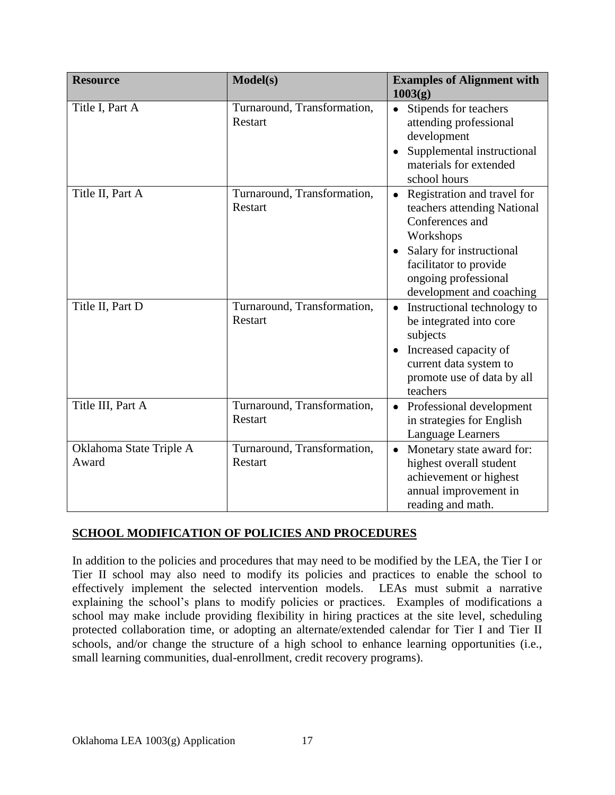| <b>Resource</b>                  | Model(s)                                      | <b>Examples of Alignment with</b><br>1003(g)                                                                                                                                                                      |
|----------------------------------|-----------------------------------------------|-------------------------------------------------------------------------------------------------------------------------------------------------------------------------------------------------------------------|
| Title I, Part A                  | Turnaround, Transformation,<br><b>Restart</b> | Stipends for teachers<br>$\bullet$<br>attending professional<br>development<br>Supplemental instructional<br>materials for extended<br>school hours                                                               |
| Title II, Part A                 | Turnaround, Transformation,<br><b>Restart</b> | Registration and travel for<br>teachers attending National<br>Conferences and<br>Workshops<br>Salary for instructional<br>$\bullet$<br>facilitator to provide<br>ongoing professional<br>development and coaching |
| Title II, Part D                 | Turnaround, Transformation,<br>Restart        | Instructional technology to<br>be integrated into core<br>subjects<br>Increased capacity of<br>current data system to<br>promote use of data by all<br>teachers                                                   |
| Title III, Part A                | Turnaround, Transformation,<br><b>Restart</b> | • Professional development<br>in strategies for English<br>Language Learners                                                                                                                                      |
| Oklahoma State Triple A<br>Award | Turnaround, Transformation,<br><b>Restart</b> | Monetary state award for:<br>highest overall student<br>achievement or highest<br>annual improvement in<br>reading and math.                                                                                      |

# **SCHOOL MODIFICATION OF POLICIES AND PROCEDURES**

In addition to the policies and procedures that may need to be modified by the LEA, the Tier I or Tier II school may also need to modify its policies and practices to enable the school to effectively implement the selected intervention models. LEAs must submit a narrative explaining the school's plans to modify policies or practices. Examples of modifications a school may make include providing flexibility in hiring practices at the site level, scheduling protected collaboration time, or adopting an alternate/extended calendar for Tier I and Tier II schools, and/or change the structure of a high school to enhance learning opportunities (i.e., small learning communities, dual-enrollment, credit recovery programs).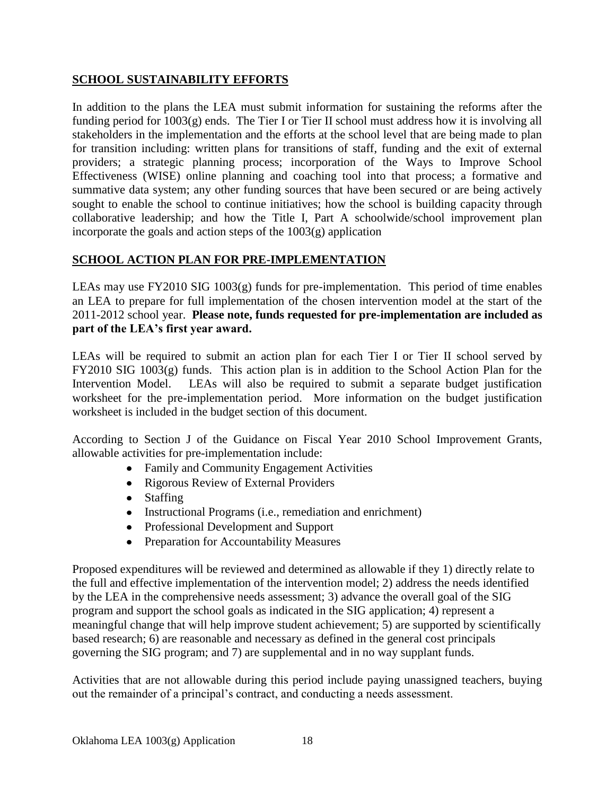### **SCHOOL SUSTAINABILITY EFFORTS**

In addition to the plans the LEA must submit information for sustaining the reforms after the funding period for 1003(g) ends. The Tier I or Tier II school must address how it is involving all stakeholders in the implementation and the efforts at the school level that are being made to plan for transition including: written plans for transitions of staff, funding and the exit of external providers; a strategic planning process; incorporation of the Ways to Improve School Effectiveness (WISE) online planning and coaching tool into that process; a formative and summative data system; any other funding sources that have been secured or are being actively sought to enable the school to continue initiatives; how the school is building capacity through collaborative leadership; and how the Title I, Part A schoolwide/school improvement plan incorporate the goals and action steps of the 1003(g) application

# **SCHOOL ACTION PLAN FOR PRE-IMPLEMENTATION**

LEAs may use FY2010 SIG 1003(g) funds for pre-implementation. This period of time enables an LEA to prepare for full implementation of the chosen intervention model at the start of the 2011-2012 school year. **Please note, funds requested for pre-implementation are included as part of the LEA's first year award.**

LEAs will be required to submit an action plan for each Tier I or Tier II school served by FY2010 SIG 1003(g) funds. This action plan is in addition to the School Action Plan for the Intervention Model. LEAs will also be required to submit a separate budget justification worksheet for the pre-implementation period. More information on the budget justification worksheet is included in the budget section of this document.

According to Section J of the Guidance on Fiscal Year 2010 School Improvement Grants, allowable activities for pre-implementation include:

- Family and Community Engagement Activities
- Rigorous Review of External Providers
- Staffing
- Instructional Programs (i.e., remediation and enrichment)
- Professional Development and Support
- Preparation for Accountability Measures

Proposed expenditures will be reviewed and determined as allowable if they 1) directly relate to the full and effective implementation of the intervention model; 2) address the needs identified by the LEA in the comprehensive needs assessment; 3) advance the overall goal of the SIG program and support the school goals as indicated in the SIG application; 4) represent a meaningful change that will help improve student achievement; 5) are supported by scientifically based research; 6) are reasonable and necessary as defined in the general cost principals governing the SIG program; and 7) are supplemental and in no way supplant funds.

Activities that are not allowable during this period include paying unassigned teachers, buying out the remainder of a principal's contract, and conducting a needs assessment.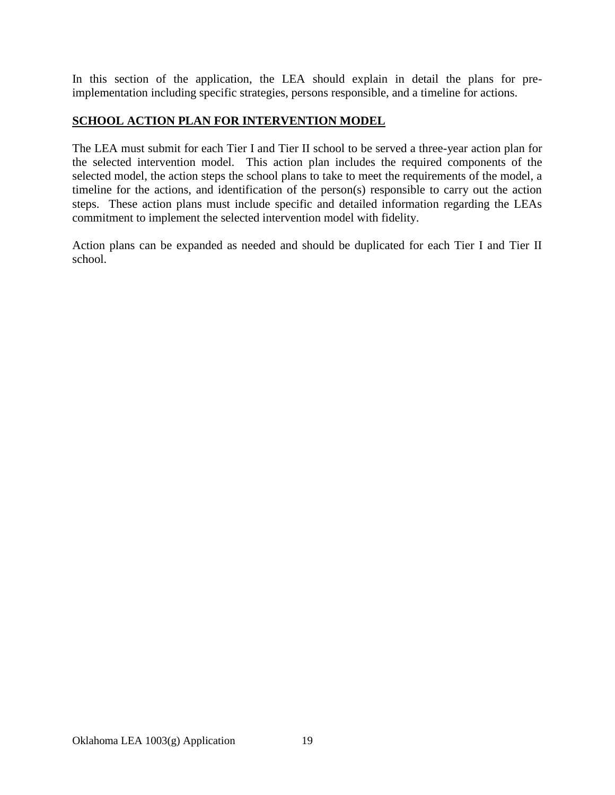In this section of the application, the LEA should explain in detail the plans for preimplementation including specific strategies, persons responsible, and a timeline for actions.

### **SCHOOL ACTION PLAN FOR INTERVENTION MODEL**

The LEA must submit for each Tier I and Tier II school to be served a three-year action plan for the selected intervention model. This action plan includes the required components of the selected model, the action steps the school plans to take to meet the requirements of the model, a timeline for the actions, and identification of the person(s) responsible to carry out the action steps. These action plans must include specific and detailed information regarding the LEAs commitment to implement the selected intervention model with fidelity.

Action plans can be expanded as needed and should be duplicated for each Tier I and Tier II school.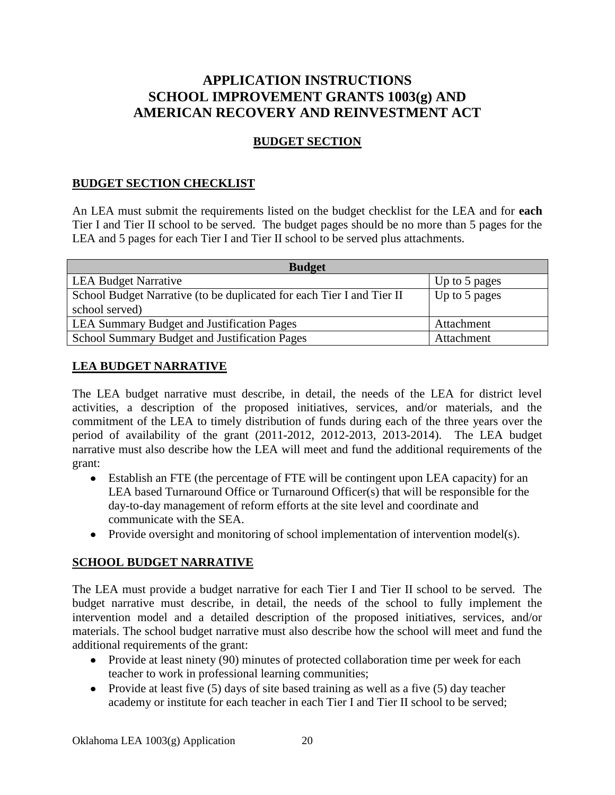# **APPLICATION INSTRUCTIONS SCHOOL IMPROVEMENT GRANTS 1003(g) AND AMERICAN RECOVERY AND REINVESTMENT ACT**

# **BUDGET SECTION**

### **BUDGET SECTION CHECKLIST**

An LEA must submit the requirements listed on the budget checklist for the LEA and for **each** Tier I and Tier II school to be served. The budget pages should be no more than 5 pages for the LEA and 5 pages for each Tier I and Tier II school to be served plus attachments.

| <b>Budget</b>                                                         |               |  |
|-----------------------------------------------------------------------|---------------|--|
| <b>LEA Budget Narrative</b>                                           | Up to 5 pages |  |
| School Budget Narrative (to be duplicated for each Tier I and Tier II | Up to 5 pages |  |
| school served)                                                        |               |  |
| <b>LEA Summary Budget and Justification Pages</b>                     | Attachment    |  |
| School Summary Budget and Justification Pages                         | Attachment    |  |

### **LEA BUDGET NARRATIVE**

The LEA budget narrative must describe, in detail, the needs of the LEA for district level activities, a description of the proposed initiatives, services, and/or materials, and the commitment of the LEA to timely distribution of funds during each of the three years over the period of availability of the grant (2011-2012, 2012-2013, 2013-2014). The LEA budget narrative must also describe how the LEA will meet and fund the additional requirements of the grant:

- Establish an FTE (the percentage of FTE will be contingent upon LEA capacity) for an LEA based Turnaround Office or Turnaround Officer(s) that will be responsible for the day-to-day management of reform efforts at the site level and coordinate and communicate with the SEA.
- Provide oversight and monitoring of school implementation of intervention model(s).

### **SCHOOL BUDGET NARRATIVE**

The LEA must provide a budget narrative for each Tier I and Tier II school to be served. The budget narrative must describe, in detail, the needs of the school to fully implement the intervention model and a detailed description of the proposed initiatives, services, and/or materials. The school budget narrative must also describe how the school will meet and fund the additional requirements of the grant:

- Provide at least ninety (90) minutes of protected collaboration time per week for each teacher to work in professional learning communities;
- Provide at least five  $(5)$  days of site based training as well as a five  $(5)$  day teacher academy or institute for each teacher in each Tier I and Tier II school to be served;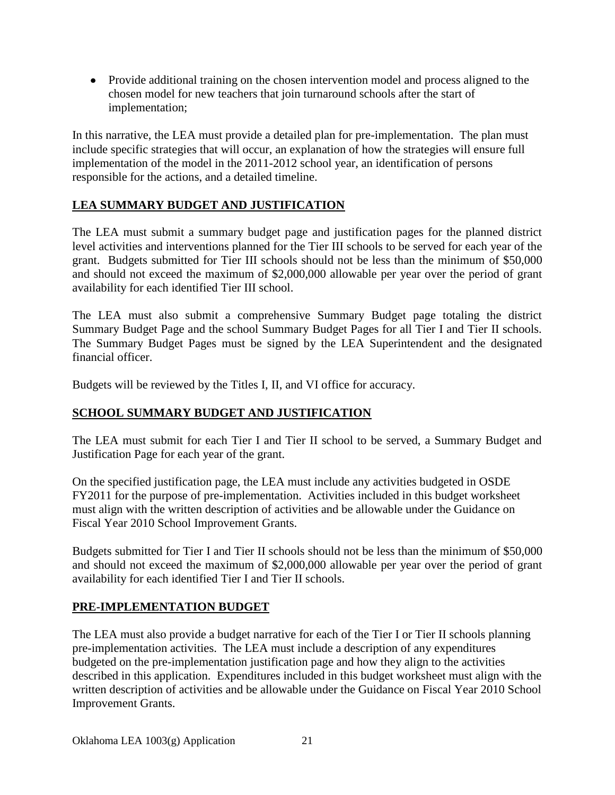• Provide additional training on the chosen intervention model and process aligned to the chosen model for new teachers that join turnaround schools after the start of implementation;

In this narrative, the LEA must provide a detailed plan for pre-implementation. The plan must include specific strategies that will occur, an explanation of how the strategies will ensure full implementation of the model in the 2011-2012 school year, an identification of persons responsible for the actions, and a detailed timeline.

# **LEA SUMMARY BUDGET AND JUSTIFICATION**

The LEA must submit a summary budget page and justification pages for the planned district level activities and interventions planned for the Tier III schools to be served for each year of the grant. Budgets submitted for Tier III schools should not be less than the minimum of \$50,000 and should not exceed the maximum of \$2,000,000 allowable per year over the period of grant availability for each identified Tier III school.

The LEA must also submit a comprehensive Summary Budget page totaling the district Summary Budget Page and the school Summary Budget Pages for all Tier I and Tier II schools. The Summary Budget Pages must be signed by the LEA Superintendent and the designated financial officer.

Budgets will be reviewed by the Titles I, II, and VI office for accuracy.

### **SCHOOL SUMMARY BUDGET AND JUSTIFICATION**

The LEA must submit for each Tier I and Tier II school to be served, a Summary Budget and Justification Page for each year of the grant.

On the specified justification page, the LEA must include any activities budgeted in OSDE FY2011 for the purpose of pre-implementation. Activities included in this budget worksheet must align with the written description of activities and be allowable under the Guidance on Fiscal Year 2010 School Improvement Grants.

Budgets submitted for Tier I and Tier II schools should not be less than the minimum of \$50,000 and should not exceed the maximum of \$2,000,000 allowable per year over the period of grant availability for each identified Tier I and Tier II schools.

### **PRE-IMPLEMENTATION BUDGET**

The LEA must also provide a budget narrative for each of the Tier I or Tier II schools planning pre-implementation activities. The LEA must include a description of any expenditures budgeted on the pre-implementation justification page and how they align to the activities described in this application. Expenditures included in this budget worksheet must align with the written description of activities and be allowable under the Guidance on Fiscal Year 2010 School Improvement Grants.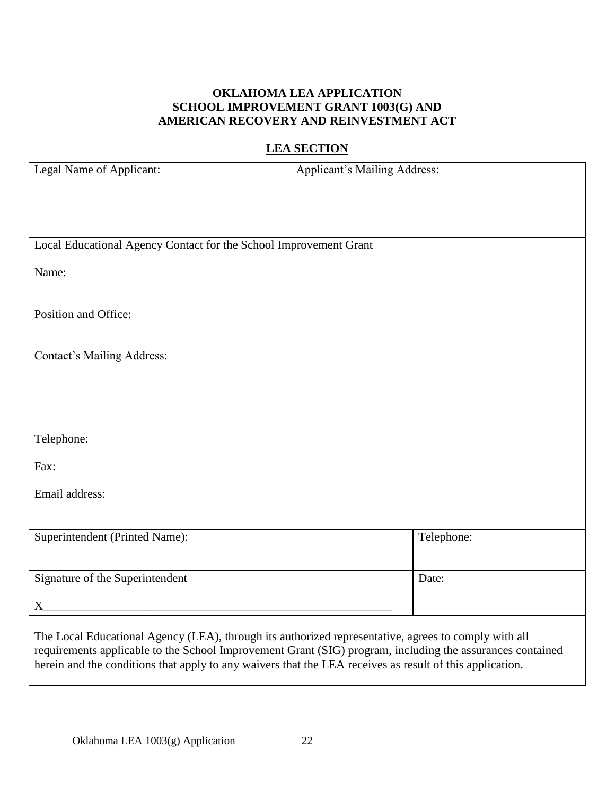### **OKLAHOMA LEA APPLICATION SCHOOL IMPROVEMENT GRANT 1003(G) AND AMERICAN RECOVERY AND REINVESTMENT ACT**

# **LEA SECTION**

| Legal Name of Applicant:                                                                                                                                                                                         | Applicant's Mailing Address:                                                                              |
|------------------------------------------------------------------------------------------------------------------------------------------------------------------------------------------------------------------|-----------------------------------------------------------------------------------------------------------|
|                                                                                                                                                                                                                  |                                                                                                           |
|                                                                                                                                                                                                                  |                                                                                                           |
| Local Educational Agency Contact for the School Improvement Grant                                                                                                                                                |                                                                                                           |
| Name:                                                                                                                                                                                                            |                                                                                                           |
|                                                                                                                                                                                                                  |                                                                                                           |
| Position and Office:                                                                                                                                                                                             |                                                                                                           |
|                                                                                                                                                                                                                  |                                                                                                           |
| <b>Contact's Mailing Address:</b>                                                                                                                                                                                |                                                                                                           |
|                                                                                                                                                                                                                  |                                                                                                           |
|                                                                                                                                                                                                                  |                                                                                                           |
| Telephone:                                                                                                                                                                                                       |                                                                                                           |
| Fax:                                                                                                                                                                                                             |                                                                                                           |
| Email address:                                                                                                                                                                                                   |                                                                                                           |
|                                                                                                                                                                                                                  |                                                                                                           |
| Superintendent (Printed Name):                                                                                                                                                                                   | Telephone:                                                                                                |
| Signature of the Superintendent                                                                                                                                                                                  | Date:                                                                                                     |
|                                                                                                                                                                                                                  |                                                                                                           |
| $X_{-}$                                                                                                                                                                                                          |                                                                                                           |
| The Local Educational Agency (LEA), through its authorized representative, agrees to comply with all<br>herein and the conditions that apply to any waivers that the LEA receives as result of this application. | requirements applicable to the School Improvement Grant (SIG) program, including the assurances contained |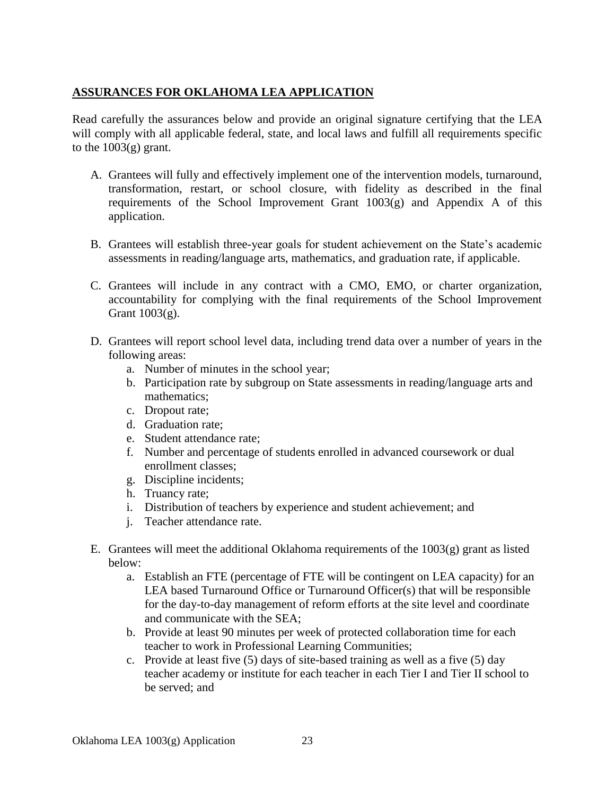## **ASSURANCES FOR OKLAHOMA LEA APPLICATION**

Read carefully the assurances below and provide an original signature certifying that the LEA will comply with all applicable federal, state, and local laws and fulfill all requirements specific to the  $1003(g)$  grant.

- A. Grantees will fully and effectively implement one of the intervention models, turnaround, transformation, restart, or school closure, with fidelity as described in the final requirements of the School Improvement Grant  $1003(g)$  and Appendix A of this application.
- B. Grantees will establish three-year goals for student achievement on the State's academic assessments in reading/language arts, mathematics, and graduation rate, if applicable.
- C. Grantees will include in any contract with a CMO, EMO, or charter organization, accountability for complying with the final requirements of the School Improvement Grant 1003(g).
- D. Grantees will report school level data, including trend data over a number of years in the following areas:
	- a. Number of minutes in the school year;
	- b. Participation rate by subgroup on State assessments in reading/language arts and mathematics;
	- c. Dropout rate;
	- d. Graduation rate;
	- e. Student attendance rate;
	- f. Number and percentage of students enrolled in advanced coursework or dual enrollment classes;
	- g. Discipline incidents;
	- h. Truancy rate;
	- i. Distribution of teachers by experience and student achievement; and
	- j. Teacher attendance rate.
- E. Grantees will meet the additional Oklahoma requirements of the  $1003(g)$  grant as listed below:
	- a. Establish an FTE (percentage of FTE will be contingent on LEA capacity) for an LEA based Turnaround Office or Turnaround Officer(s) that will be responsible for the day-to-day management of reform efforts at the site level and coordinate and communicate with the SEA;
	- b. Provide at least 90 minutes per week of protected collaboration time for each teacher to work in Professional Learning Communities;
	- c. Provide at least five (5) days of site-based training as well as a five (5) day teacher academy or institute for each teacher in each Tier I and Tier II school to be served; and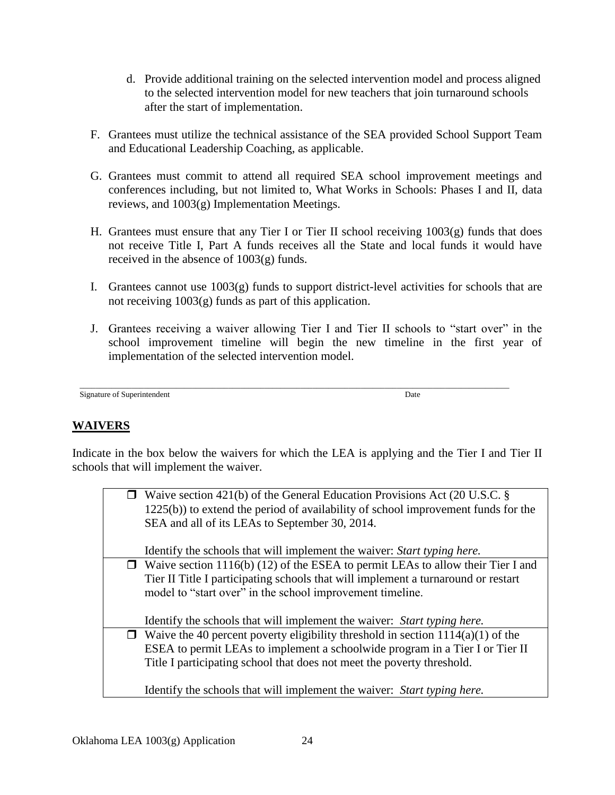- d. Provide additional training on the selected intervention model and process aligned to the selected intervention model for new teachers that join turnaround schools after the start of implementation.
- F. Grantees must utilize the technical assistance of the SEA provided School Support Team and Educational Leadership Coaching, as applicable.
- G. Grantees must commit to attend all required SEA school improvement meetings and conferences including, but not limited to, What Works in Schools: Phases I and II, data reviews, and 1003(g) Implementation Meetings.
- H. Grantees must ensure that any Tier I or Tier II school receiving 1003(g) funds that does not receive Title I, Part A funds receives all the State and local funds it would have received in the absence of 1003(g) funds.
- I. Grantees cannot use  $1003(g)$  funds to support district-level activities for schools that are not receiving 1003(g) funds as part of this application.
- J. Grantees receiving a waiver allowing Tier I and Tier II schools to "start over" in the school improvement timeline will begin the new timeline in the first year of implementation of the selected intervention model.

```
___________________________________________________________________________________________________________
Signature of Superintendent Date
```
### **WAIVERS**

Indicate in the box below the waivers for which the LEA is applying and the Tier I and Tier II schools that will implement the waiver.

| $\Box$ Waive section 421(b) of the General Education Provisions Act (20 U.S.C. §<br>1225(b)) to extend the period of availability of school improvement funds for the<br>SEA and all of its LEAs to September 30, 2014. |
|-------------------------------------------------------------------------------------------------------------------------------------------------------------------------------------------------------------------------|
| Identify the schools that will implement the waiver: <i>Start typing here</i> .                                                                                                                                         |
| $\Box$ Waive section 1116(b) (12) of the ESEA to permit LEAs to allow their Tier I and                                                                                                                                  |
| Tier II Title I participating schools that will implement a turnaround or restart<br>model to "start over" in the school improvement timeline.                                                                          |
|                                                                                                                                                                                                                         |
| Identify the schools that will implement the waiver: Start typing here.                                                                                                                                                 |
| $\Box$ Waive the 40 percent poverty eligibility threshold in section 1114(a)(1) of the                                                                                                                                  |
| ESEA to permit LEAs to implement a schoolwide program in a Tier I or Tier II                                                                                                                                            |
| Title I participating school that does not meet the poverty threshold.                                                                                                                                                  |
| Identify the schools that will implement the waiver: <i>Start typing here</i> .                                                                                                                                         |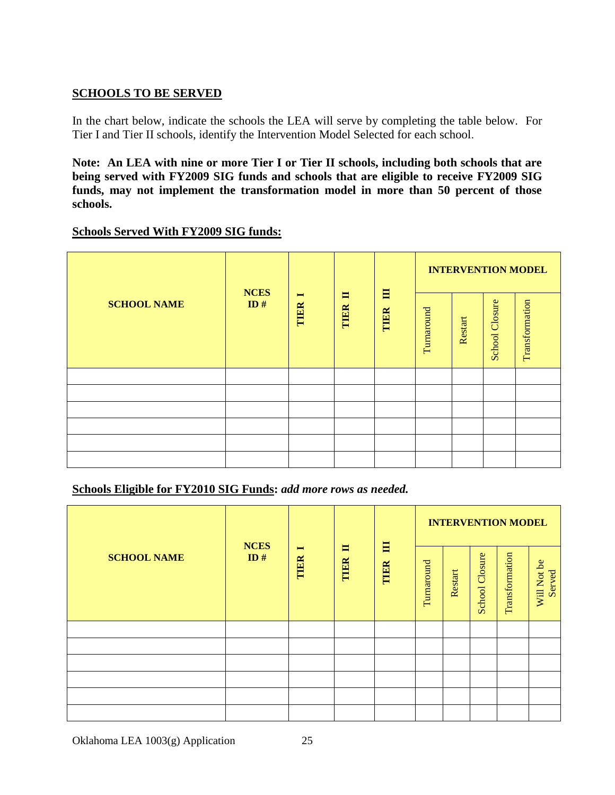### **SCHOOLS TO BE SERVED**

In the chart below, indicate the schools the LEA will serve by completing the table below. For Tier I and Tier II schools, identify the Intervention Model Selected for each school.

**Note: An LEA with nine or more Tier I or Tier II schools, including both schools that are being served with FY2009 SIG funds and schools that are eligible to receive FY2009 SIG funds, may not implement the transformation model in more than 50 percent of those schools.**

#### **Schools Served With FY2009 SIG funds:**

|                    | <b>NCES</b> |                        |           |           |            |         |                       | <b>INTERVENTION MODEL</b> |
|--------------------|-------------|------------------------|-----------|-----------|------------|---------|-----------------------|---------------------------|
| <b>SCHOOL NAME</b> | ID#         | $\blacksquare$<br>TIER | 〓<br>TIER | 目<br>TIER | Turnaround | Restart | <b>School Closure</b> | Transformation            |
|                    |             |                        |           |           |            |         |                       |                           |
|                    |             |                        |           |           |            |         |                       |                           |
|                    |             |                        |           |           |            |         |                       |                           |
|                    |             |                        |           |           |            |         |                       |                           |
|                    |             |                        |           |           |            |         |                       |                           |
|                    |             |                        |           |           |            |         |                       |                           |

#### **Schools Eligible for FY2010 SIG Funds:** *add more rows as needed.*

|                    |                    |                        |           |           |            |         |                |                | <b>INTERVENTION MODEL</b> |  |
|--------------------|--------------------|------------------------|-----------|-----------|------------|---------|----------------|----------------|---------------------------|--|
| <b>SCHOOL NAME</b> | <b>NCES</b><br>ID# | $\blacksquare$<br>TIER | E<br>TIER | 冒<br>TIER | Turnaround | Restart | School Closure | Transformation | Will Not be<br>Served     |  |
|                    |                    |                        |           |           |            |         |                |                |                           |  |
|                    |                    |                        |           |           |            |         |                |                |                           |  |
|                    |                    |                        |           |           |            |         |                |                |                           |  |
|                    |                    |                        |           |           |            |         |                |                |                           |  |
|                    |                    |                        |           |           |            |         |                |                |                           |  |
|                    |                    |                        |           |           |            |         |                |                |                           |  |

Oklahoma LEA 1003(g) Application 25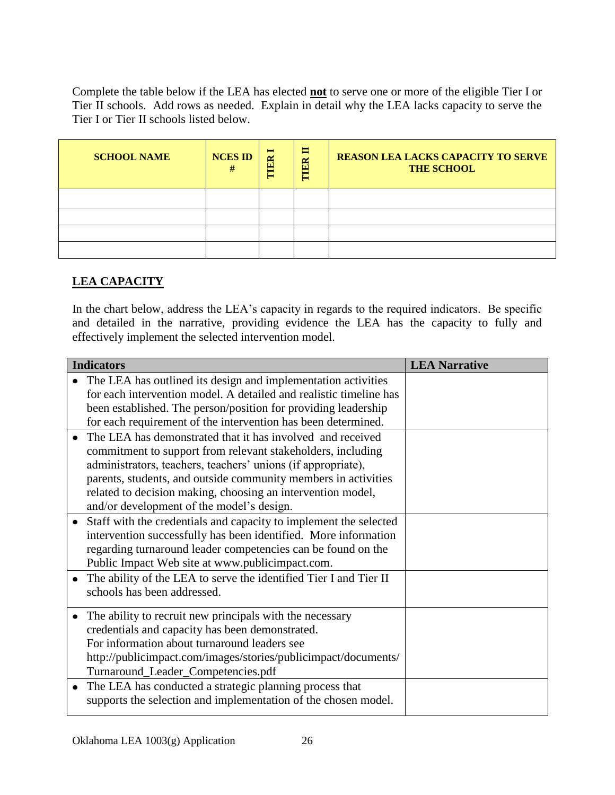Complete the table below if the LEA has elected **not** to serve one or more of the eligible Tier I or Tier II schools. Add rows as needed. Explain in detail why the LEA lacks capacity to serve the Tier I or Tier II schools listed below.

| <b>SCHOOL NAME</b> | <b>NCES ID</b><br># | $\blacksquare$<br>ER<br>Ξ | E<br>$\mathbb{R}$<br>╒ | <b>REASON LEA LACKS CAPACITY TO SERVE</b><br><b>THE SCHOOL</b> |
|--------------------|---------------------|---------------------------|------------------------|----------------------------------------------------------------|
|                    |                     |                           |                        |                                                                |
|                    |                     |                           |                        |                                                                |
|                    |                     |                           |                        |                                                                |
|                    |                     |                           |                        |                                                                |

# **LEA CAPACITY**

In the chart below, address the LEA's capacity in regards to the required indicators. Be specific and detailed in the narrative, providing evidence the LEA has the capacity to fully and effectively implement the selected intervention model.

| <b>Indicators</b>                                                                                                                                                                                                                                                                                                                                                       | <b>LEA Narrative</b> |
|-------------------------------------------------------------------------------------------------------------------------------------------------------------------------------------------------------------------------------------------------------------------------------------------------------------------------------------------------------------------------|----------------------|
| The LEA has outlined its design and implementation activities<br>for each intervention model. A detailed and realistic timeline has<br>been established. The person/position for providing leadership<br>for each requirement of the intervention has been determined.                                                                                                  |                      |
| The LEA has demonstrated that it has involved and received<br>commitment to support from relevant stakeholders, including<br>administrators, teachers, teachers' unions (if appropriate),<br>parents, students, and outside community members in activities<br>related to decision making, choosing an intervention model,<br>and/or development of the model's design. |                      |
| Staff with the credentials and capacity to implement the selected<br>intervention successfully has been identified. More information<br>regarding turnaround leader competencies can be found on the<br>Public Impact Web site at www.publicimpact.com.                                                                                                                 |                      |
| The ability of the LEA to serve the identified Tier I and Tier II<br>schools has been addressed.                                                                                                                                                                                                                                                                        |                      |
| The ability to recruit new principals with the necessary<br>credentials and capacity has been demonstrated.<br>For information about turnaround leaders see<br>http://publicimpact.com/images/stories/publicimpact/documents/<br>Turnaround_Leader_Competencies.pdf                                                                                                     |                      |
| The LEA has conducted a strategic planning process that<br>supports the selection and implementation of the chosen model.                                                                                                                                                                                                                                               |                      |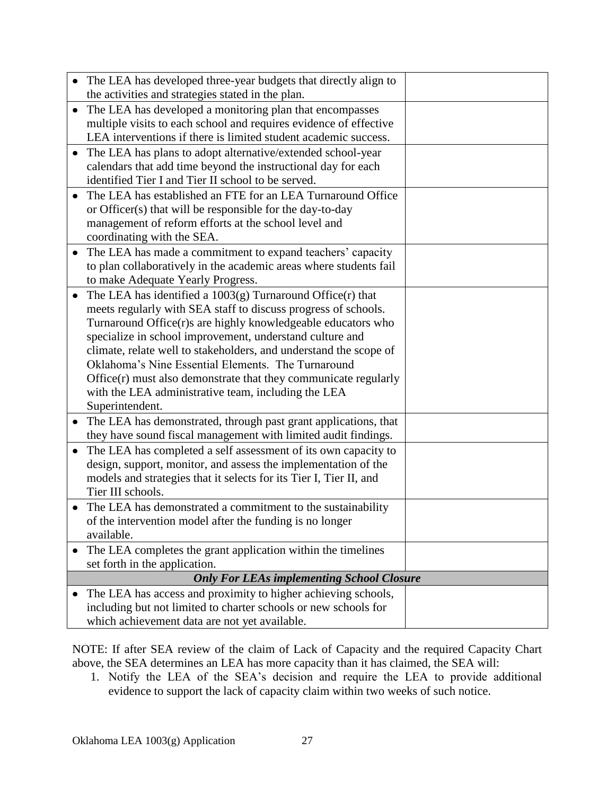|                        | The LEA has developed three-year budgets that directly align to<br>the activities and strategies stated in the plan.                                                                                                                                                                                                                                                                                                                                                                                                                                                                                       |  |
|------------------------|------------------------------------------------------------------------------------------------------------------------------------------------------------------------------------------------------------------------------------------------------------------------------------------------------------------------------------------------------------------------------------------------------------------------------------------------------------------------------------------------------------------------------------------------------------------------------------------------------------|--|
| $\bullet$              | The LEA has developed a monitoring plan that encompasses                                                                                                                                                                                                                                                                                                                                                                                                                                                                                                                                                   |  |
|                        | multiple visits to each school and requires evidence of effective<br>LEA interventions if there is limited student academic success.                                                                                                                                                                                                                                                                                                                                                                                                                                                                       |  |
|                        | The LEA has plans to adopt alternative/extended school-year<br>calendars that add time beyond the instructional day for each<br>identified Tier I and Tier II school to be served.                                                                                                                                                                                                                                                                                                                                                                                                                         |  |
|                        | The LEA has established an FTE for an LEA Turnaround Office<br>or Officer(s) that will be responsible for the day-to-day<br>management of reform efforts at the school level and<br>coordinating with the SEA.                                                                                                                                                                                                                                                                                                                                                                                             |  |
| $\bullet$              | The LEA has made a commitment to expand teachers' capacity<br>to plan collaboratively in the academic areas where students fail<br>to make Adequate Yearly Progress.                                                                                                                                                                                                                                                                                                                                                                                                                                       |  |
| $\bullet$<br>$\bullet$ | The LEA has identified a $1003(g)$ Turnaround Office $(r)$ that<br>meets regularly with SEA staff to discuss progress of schools.<br>Turnaround Office(r)s are highly knowledgeable educators who<br>specialize in school improvement, understand culture and<br>climate, relate well to stakeholders, and understand the scope of<br>Oklahoma's Nine Essential Elements. The Turnaround<br>$Office(r)$ must also demonstrate that they communicate regularly<br>with the LEA administrative team, including the LEA<br>Superintendent.<br>The LEA has demonstrated, through past grant applications, that |  |
| $\bullet$              | they have sound fiscal management with limited audit findings.<br>The LEA has completed a self assessment of its own capacity to<br>design, support, monitor, and assess the implementation of the<br>models and strategies that it selects for its Tier I, Tier II, and<br>Tier III schools.                                                                                                                                                                                                                                                                                                              |  |
|                        | The LEA has demonstrated a commitment to the sustainability<br>of the intervention model after the funding is no longer<br>available.                                                                                                                                                                                                                                                                                                                                                                                                                                                                      |  |
|                        | The LEA completes the grant application within the timelines<br>set forth in the application.                                                                                                                                                                                                                                                                                                                                                                                                                                                                                                              |  |
|                        | <b>Only For LEAs implementing School Closure</b>                                                                                                                                                                                                                                                                                                                                                                                                                                                                                                                                                           |  |
|                        | The LEA has access and proximity to higher achieving schools,<br>including but not limited to charter schools or new schools for<br>which achievement data are not yet available.                                                                                                                                                                                                                                                                                                                                                                                                                          |  |

NOTE: If after SEA review of the claim of Lack of Capacity and the required Capacity Chart above, the SEA determines an LEA has more capacity than it has claimed, the SEA will:

1. Notify the LEA of the SEA's decision and require the LEA to provide additional evidence to support the lack of capacity claim within two weeks of such notice.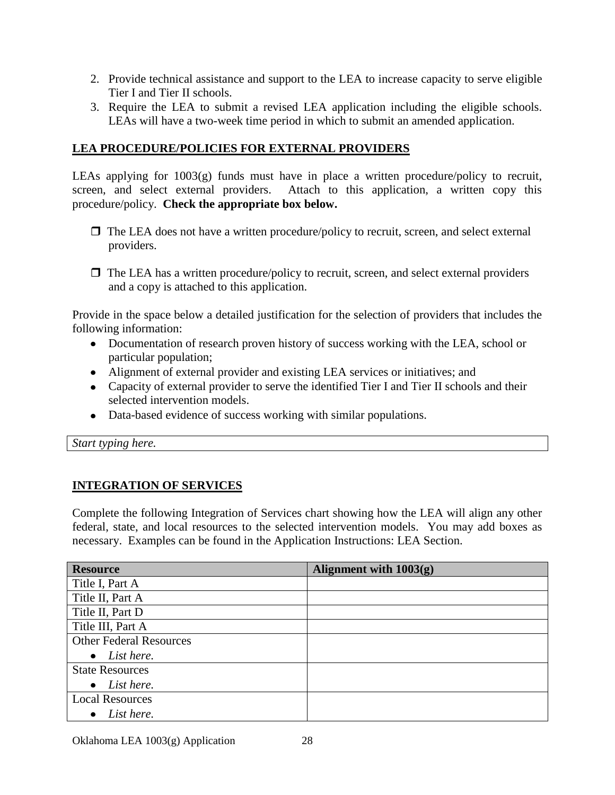- 2. Provide technical assistance and support to the LEA to increase capacity to serve eligible Tier I and Tier II schools.
- 3. Require the LEA to submit a revised LEA application including the eligible schools. LEAs will have a two-week time period in which to submit an amended application.

## **LEA PROCEDURE/POLICIES FOR EXTERNAL PROVIDERS**

LEAs applying for 1003(g) funds must have in place a written procedure/policy to recruit, screen, and select external providers. Attach to this application, a written copy this procedure/policy. **Check the appropriate box below.**

- $\Box$  The LEA does not have a written procedure/policy to recruit, screen, and select external providers.
- $\Box$  The LEA has a written procedure/policy to recruit, screen, and select external providers and a copy is attached to this application.

Provide in the space below a detailed justification for the selection of providers that includes the following information:

- Documentation of research proven history of success working with the LEA, school or particular population;
- Alignment of external provider and existing LEA services or initiatives; and
- Capacity of external provider to serve the identified Tier I and Tier II schools and their selected intervention models.
- Data-based evidence of success working with similar populations.

*Start typing here.*

# **INTEGRATION OF SERVICES**

Complete the following Integration of Services chart showing how the LEA will align any other federal, state, and local resources to the selected intervention models. You may add boxes as necessary. Examples can be found in the Application Instructions: LEA Section.

| <b>Resource</b>                | Alignment with $1003(g)$ |
|--------------------------------|--------------------------|
| Title I, Part A                |                          |
| Title II, Part A               |                          |
| Title II, Part D               |                          |
| Title III, Part A              |                          |
| <b>Other Federal Resources</b> |                          |
| List here.<br>$\bullet$        |                          |
| <b>State Resources</b>         |                          |
| List here.<br>$\bullet$        |                          |
| <b>Local Resources</b>         |                          |
| List here.                     |                          |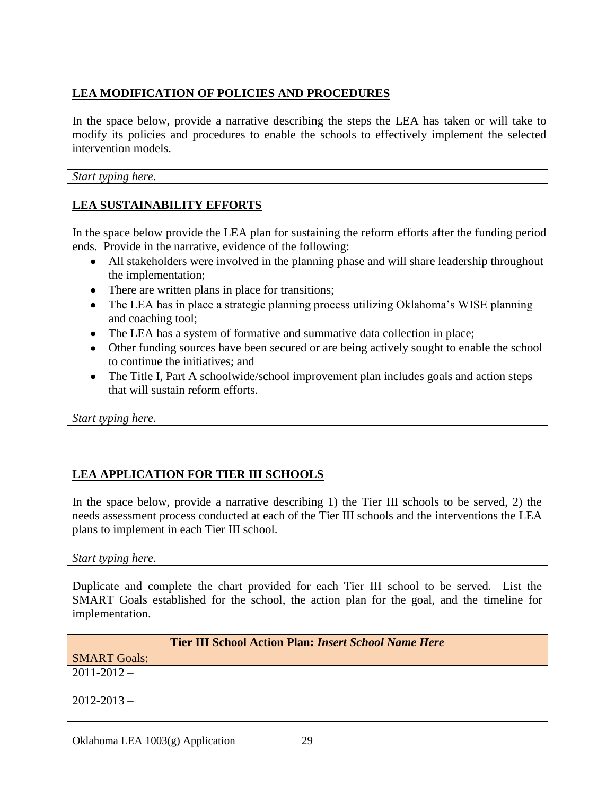# **LEA MODIFICATION OF POLICIES AND PROCEDURES**

In the space below, provide a narrative describing the steps the LEA has taken or will take to modify its policies and procedures to enable the schools to effectively implement the selected intervention models.

*Start typing here.*

### **LEA SUSTAINABILITY EFFORTS**

In the space below provide the LEA plan for sustaining the reform efforts after the funding period ends. Provide in the narrative, evidence of the following:

- All stakeholders were involved in the planning phase and will share leadership throughout the implementation;
- There are written plans in place for transitions;
- The LEA has in place a strategic planning process utilizing Oklahoma's WISE planning and coaching tool;
- The LEA has a system of formative and summative data collection in place;
- Other funding sources have been secured or are being actively sought to enable the school to continue the initiatives; and
- The Title I, Part A schoolwide/school improvement plan includes goals and action steps that will sustain reform efforts.

*Start typing here.*

# **LEA APPLICATION FOR TIER III SCHOOLS**

In the space below, provide a narrative describing 1) the Tier III schools to be served, 2) the needs assessment process conducted at each of the Tier III schools and the interventions the LEA plans to implement in each Tier III school.

*Start typing here*.

Duplicate and complete the chart provided for each Tier III school to be served. List the SMART Goals established for the school, the action plan for the goal, and the timeline for implementation.

| <b>Tier III School Action Plan: Insert School Name Here</b> |  |  |
|-------------------------------------------------------------|--|--|
| <b>SMART Goals:</b>                                         |  |  |
| $2011 - 2012 -$                                             |  |  |
| $2012 - 2013 -$                                             |  |  |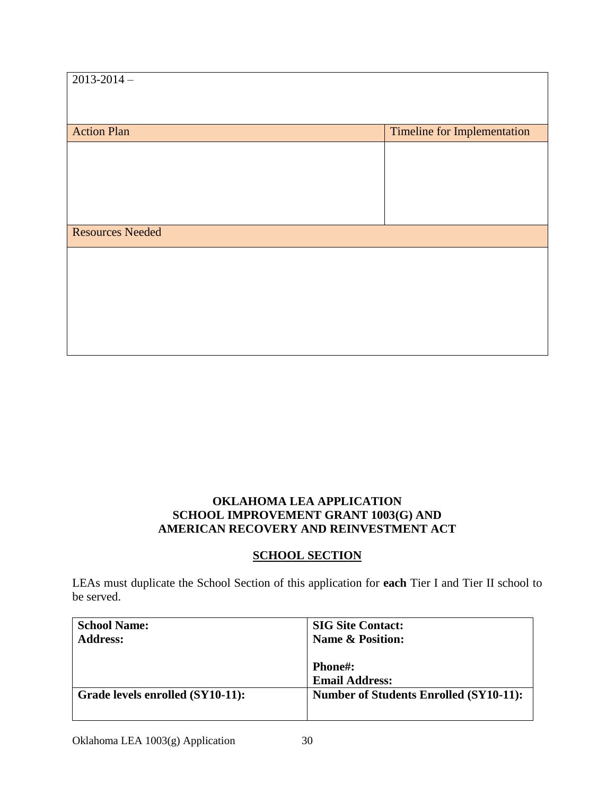| $2013 - 2014$ –         |                                    |
|-------------------------|------------------------------------|
| <b>Action Plan</b>      | <b>Timeline for Implementation</b> |
|                         |                                    |
|                         |                                    |
|                         |                                    |
| <b>Resources Needed</b> |                                    |
|                         |                                    |
|                         |                                    |
|                         |                                    |
|                         |                                    |

## **OKLAHOMA LEA APPLICATION SCHOOL IMPROVEMENT GRANT 1003(G) AND AMERICAN RECOVERY AND REINVESTMENT ACT**

### **SCHOOL SECTION**

LEAs must duplicate the School Section of this application for **each** Tier I and Tier II school to be served.

| <b>School Name:</b>              | <b>SIG Site Contact:</b>                      |
|----------------------------------|-----------------------------------------------|
| <b>Address:</b>                  | <b>Name &amp; Position:</b>                   |
|                                  |                                               |
|                                  | <b>Phone#:</b>                                |
|                                  | <b>Email Address:</b>                         |
| Grade levels enrolled (SY10-11): | <b>Number of Students Enrolled (SY10-11):</b> |
|                                  |                                               |
|                                  |                                               |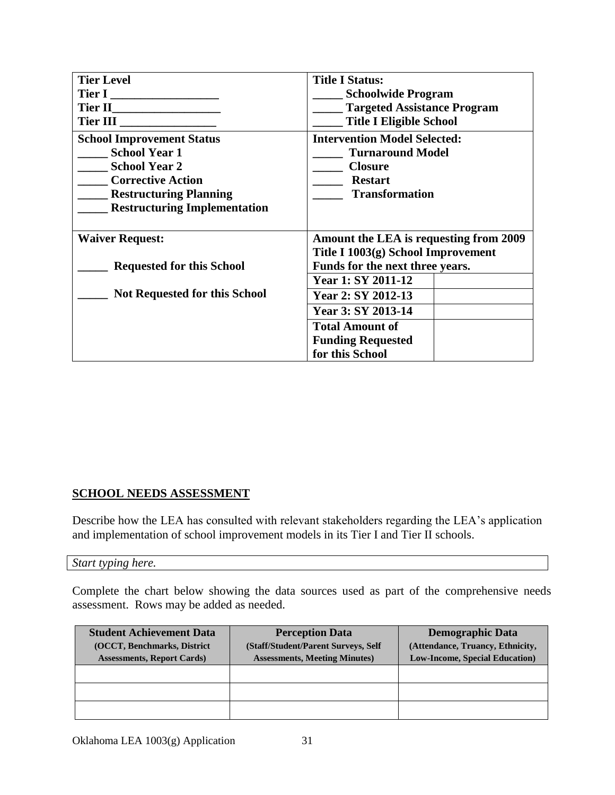| <b>Tier Level</b>                     | <b>Title I Status:</b>                 |  |  |
|---------------------------------------|----------------------------------------|--|--|
|                                       | <b>Schoolwide Program</b>              |  |  |
|                                       | <b>Targeted Assistance Program</b>     |  |  |
|                                       | <b>Title I Eligible School</b>         |  |  |
| <b>School Improvement Status</b>      | <b>Intervention Model Selected:</b>    |  |  |
| <b>School Year 1</b>                  | <b>Turnaround Model</b>                |  |  |
| <b>School Year 2</b>                  | <b>Closure</b>                         |  |  |
| <b>Corrective Action</b>              | <b>Restart</b>                         |  |  |
| <b>EXAMPLE Restructuring Planning</b> | <b>Transformation</b>                  |  |  |
| <b>Restructuring Implementation</b>   |                                        |  |  |
|                                       |                                        |  |  |
| <b>Waiver Request:</b>                | Amount the LEA is requesting from 2009 |  |  |
|                                       | Title I 1003(g) School Improvement     |  |  |
| <b>Requested for this School</b>      | Funds for the next three years.        |  |  |
|                                       | <b>Year 1: SY 2011-12</b>              |  |  |
| <b>Not Requested for this School</b>  | Year 2: SY 2012-13                     |  |  |
|                                       | Year 3: SY 2013-14                     |  |  |
|                                       | <b>Total Amount of</b>                 |  |  |
|                                       | <b>Funding Requested</b>               |  |  |
|                                       | for this School                        |  |  |

### **SCHOOL NEEDS ASSESSMENT**

Describe how the LEA has consulted with relevant stakeholders regarding the LEA's application and implementation of school improvement models in its Tier I and Tier II schools.

#### *Start typing here.*

Complete the chart below showing the data sources used as part of the comprehensive needs assessment. Rows may be added as needed.

| <b>Student Achievement Data</b><br>(OCCT, Benchmarks, District<br><b>Assessments, Report Cards</b> ) | <b>Perception Data</b><br>(Staff/Student/Parent Surveys, Self<br><b>Assessments, Meeting Minutes)</b> | <b>Demographic Data</b><br>(Attendance, Truancy, Ethnicity,<br><b>Low-Income, Special Education</b> ) |
|------------------------------------------------------------------------------------------------------|-------------------------------------------------------------------------------------------------------|-------------------------------------------------------------------------------------------------------|
|                                                                                                      |                                                                                                       |                                                                                                       |
|                                                                                                      |                                                                                                       |                                                                                                       |
|                                                                                                      |                                                                                                       |                                                                                                       |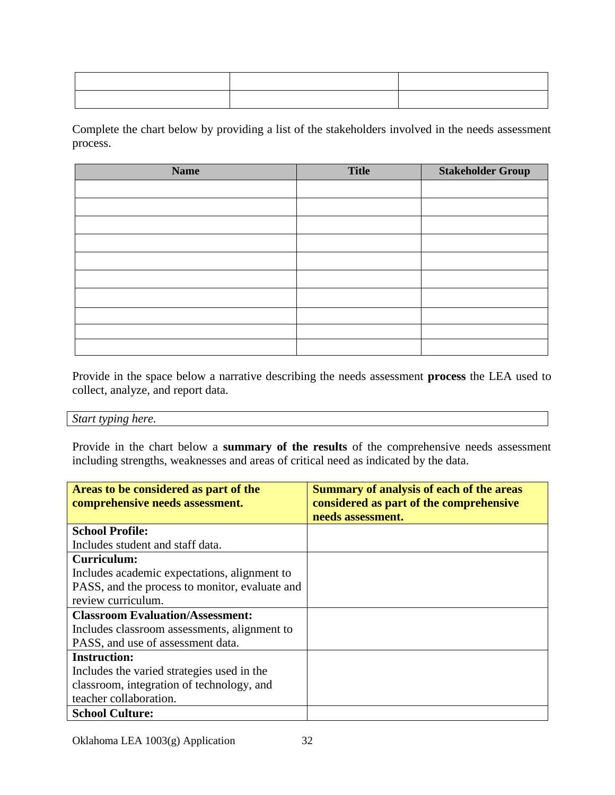Complete the chart below by providing a list of the stakeholders involved in the needs assessment process.

| <b>Name</b> | <b>Title</b> | <b>Stakeholder Group</b> |
|-------------|--------------|--------------------------|
|             |              |                          |
|             |              |                          |
|             |              |                          |
|             |              |                          |
|             |              |                          |
|             |              |                          |
|             |              |                          |
|             |              |                          |
|             |              |                          |
|             |              |                          |

Provide in the space below a narrative describing the needs assessment **process** the LEA used to collect, analyze, and report data.

#### *Start typing here.*

Provide in the chart below a **summary of the results** of the comprehensive needs assessment including strengths, weaknesses and areas of critical need as indicated by the data.

| Areas to be considered as part of the<br>comprehensive needs assessment. | <b>Summary of analysis of each of the areas</b><br>considered as part of the comprehensive |
|--------------------------------------------------------------------------|--------------------------------------------------------------------------------------------|
|                                                                          | needs assessment.                                                                          |
| <b>School Profile:</b>                                                   |                                                                                            |
| Includes student and staff data.                                         |                                                                                            |
| Curriculum:                                                              |                                                                                            |
| Includes academic expectations, alignment to                             |                                                                                            |
| PASS, and the process to monitor, evaluate and                           |                                                                                            |
| review curriculum.                                                       |                                                                                            |
| <b>Classroom Evaluation/Assessment:</b>                                  |                                                                                            |
| Includes classroom assessments, alignment to                             |                                                                                            |
| PASS, and use of assessment data.                                        |                                                                                            |
| <b>Instruction:</b>                                                      |                                                                                            |
| Includes the varied strategies used in the                               |                                                                                            |
| classroom, integration of technology, and                                |                                                                                            |
| teacher collaboration.                                                   |                                                                                            |
| <b>School Culture:</b>                                                   |                                                                                            |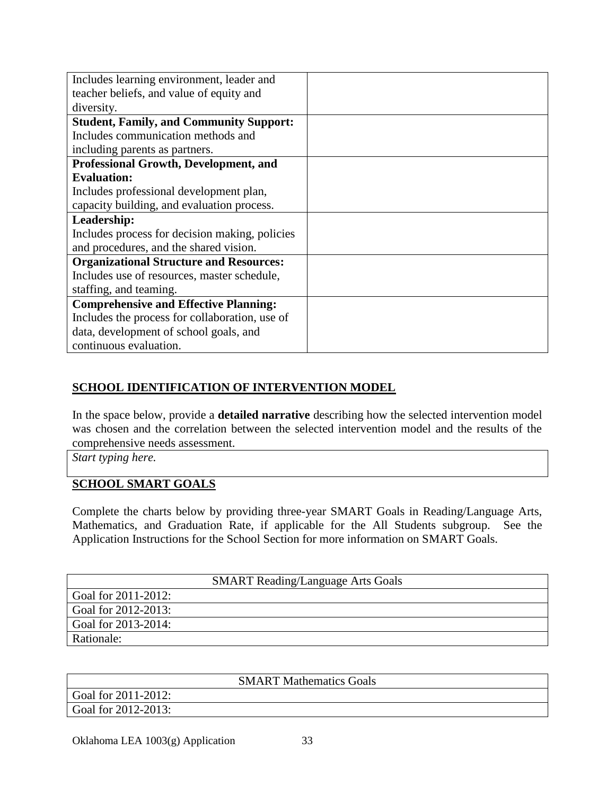| Includes learning environment, leader and      |  |
|------------------------------------------------|--|
| teacher beliefs, and value of equity and       |  |
| diversity.                                     |  |
| <b>Student, Family, and Community Support:</b> |  |
| Includes communication methods and             |  |
| including parents as partners.                 |  |
| <b>Professional Growth, Development, and</b>   |  |
| <b>Evaluation:</b>                             |  |
| Includes professional development plan,        |  |
| capacity building, and evaluation process.     |  |
| Leadership:                                    |  |
| Includes process for decision making, policies |  |
| and procedures, and the shared vision.         |  |
| <b>Organizational Structure and Resources:</b> |  |
| Includes use of resources, master schedule,    |  |
| staffing, and teaming.                         |  |
| <b>Comprehensive and Effective Planning:</b>   |  |
| Includes the process for collaboration, use of |  |
| data, development of school goals, and         |  |
| continuous evaluation.                         |  |

# **SCHOOL IDENTIFICATION OF INTERVENTION MODEL**

In the space below, provide a **detailed narrative** describing how the selected intervention model was chosen and the correlation between the selected intervention model and the results of the comprehensive needs assessment.

*Start typing here.*

## **SCHOOL SMART GOALS**

Complete the charts below by providing three-year SMART Goals in Reading/Language Arts, Mathematics, and Graduation Rate, if applicable for the All Students subgroup. See the Application Instructions for the School Section for more information on SMART Goals.

| <b>SMART Reading/Language Arts Goals</b> |  |  |
|------------------------------------------|--|--|
| Goal for 2011-2012:                      |  |  |
| Goal for 2012-2013:                      |  |  |
| Goal for 2013-2014:                      |  |  |
| Rationale:                               |  |  |

|                     | <b>SMART Mathematics Goals</b> |  |
|---------------------|--------------------------------|--|
| Goal for 2011-2012: |                                |  |
| Goal for 2012-2013: |                                |  |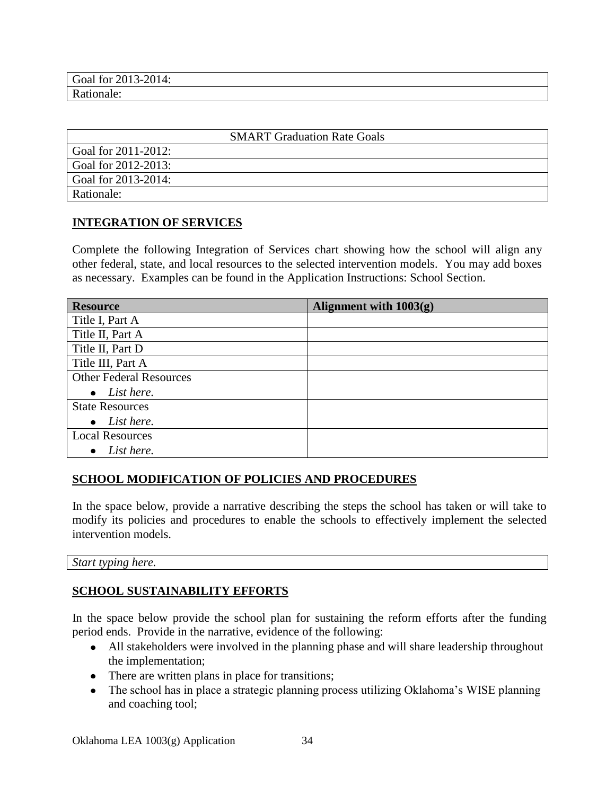| 201<br>Goal for<br>$\sim$<br>$\uparrow$ -<br>2013<br>-∠∪14. |  |
|-------------------------------------------------------------|--|
| D<br>⊶unaler —<br>.                                         |  |

|                     | <b>SMART</b> Graduation Rate Goals |
|---------------------|------------------------------------|
| Goal for 2011-2012: |                                    |
| Goal for 2012-2013: |                                    |
| Goal for 2013-2014: |                                    |
| Rationale:          |                                    |

### **INTEGRATION OF SERVICES**

Complete the following Integration of Services chart showing how the school will align any other federal, state, and local resources to the selected intervention models. You may add boxes as necessary. Examples can be found in the Application Instructions: School Section.

| <b>Resource</b>                | Alignment with $1003(g)$ |
|--------------------------------|--------------------------|
| Title I, Part A                |                          |
| Title II, Part A               |                          |
| Title II, Part D               |                          |
| Title III, Part A              |                          |
| <b>Other Federal Resources</b> |                          |
| List here.<br>$\bullet$        |                          |
| <b>State Resources</b>         |                          |
| List here.<br>$\bullet$        |                          |
| <b>Local Resources</b>         |                          |
| List here.                     |                          |

### **SCHOOL MODIFICATION OF POLICIES AND PROCEDURES**

In the space below, provide a narrative describing the steps the school has taken or will take to modify its policies and procedures to enable the schools to effectively implement the selected intervention models.

*Start typing here.*

# **SCHOOL SUSTAINABILITY EFFORTS**

In the space below provide the school plan for sustaining the reform efforts after the funding period ends. Provide in the narrative, evidence of the following:

- All stakeholders were involved in the planning phase and will share leadership throughout the implementation;
- There are written plans in place for transitions;
- The school has in place a strategic planning process utilizing Oklahoma's WISE planning and coaching tool;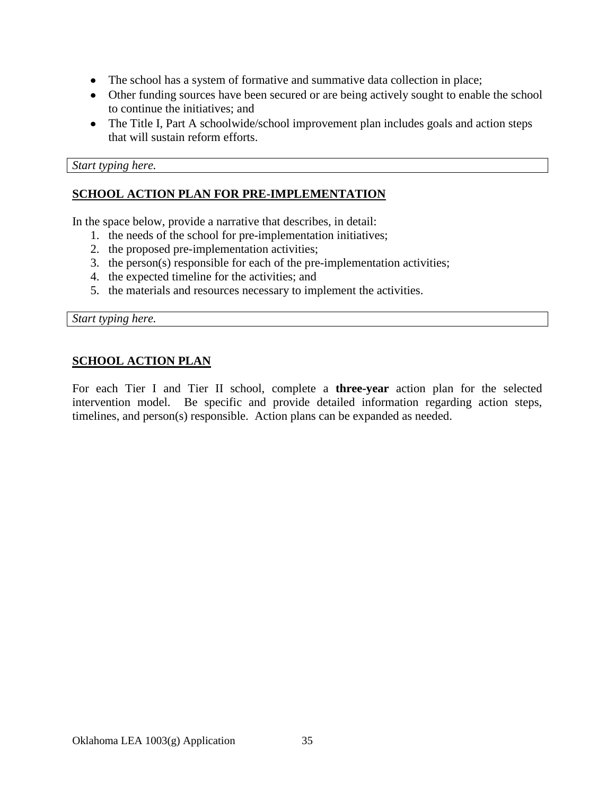- The school has a system of formative and summative data collection in place;
- Other funding sources have been secured or are being actively sought to enable the school to continue the initiatives; and
- The Title I, Part A schoolwide/school improvement plan includes goals and action steps that will sustain reform efforts.

*Start typing here.*

### **SCHOOL ACTION PLAN FOR PRE-IMPLEMENTATION**

In the space below, provide a narrative that describes, in detail:

- 1. the needs of the school for pre-implementation initiatives;
- 2. the proposed pre-implementation activities;
- 3. the person(s) responsible for each of the pre-implementation activities;
- 4. the expected timeline for the activities; and
- 5. the materials and resources necessary to implement the activities.

*Start typing here.*

#### **SCHOOL ACTION PLAN**

For each Tier I and Tier II school, complete a **three-year** action plan for the selected intervention model. Be specific and provide detailed information regarding action steps, timelines, and person(s) responsible. Action plans can be expanded as needed.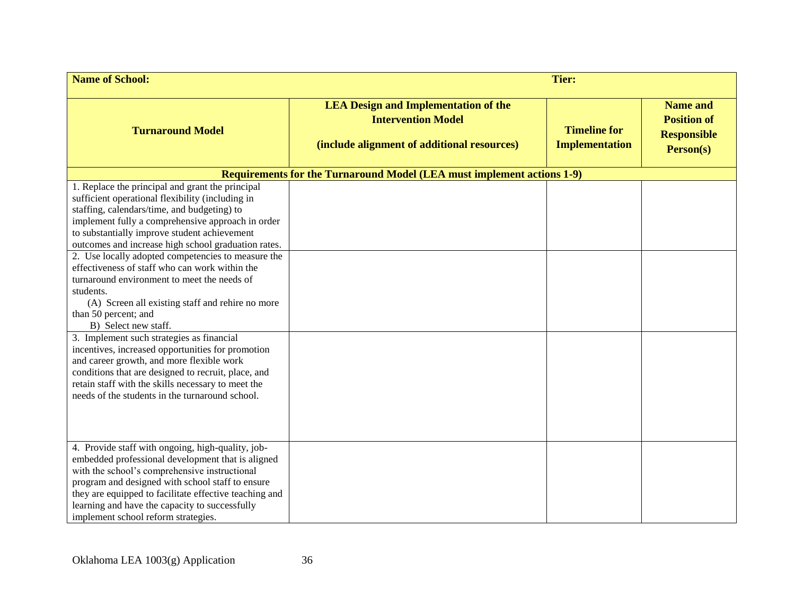| <b>Name of School:</b>                                                                                                                                                                                                                                                                                                                                                                                                                                                                                                                                                                                                                                                                    |                                                                                                                         | <b>Tier:</b>                                 |                                                                          |
|-------------------------------------------------------------------------------------------------------------------------------------------------------------------------------------------------------------------------------------------------------------------------------------------------------------------------------------------------------------------------------------------------------------------------------------------------------------------------------------------------------------------------------------------------------------------------------------------------------------------------------------------------------------------------------------------|-------------------------------------------------------------------------------------------------------------------------|----------------------------------------------|--------------------------------------------------------------------------|
| <b>Turnaround Model</b>                                                                                                                                                                                                                                                                                                                                                                                                                                                                                                                                                                                                                                                                   | <b>LEA Design and Implementation of the</b><br><b>Intervention Model</b><br>(include alignment of additional resources) | <b>Timeline for</b><br><b>Implementation</b> | <b>Name and</b><br><b>Position of</b><br><b>Responsible</b><br>Person(s) |
|                                                                                                                                                                                                                                                                                                                                                                                                                                                                                                                                                                                                                                                                                           | <b>Requirements for the Turnaround Model (LEA must implement actions 1-9)</b>                                           |                                              |                                                                          |
| 1. Replace the principal and grant the principal<br>sufficient operational flexibility (including in<br>staffing, calendars/time, and budgeting) to<br>implement fully a comprehensive approach in order<br>to substantially improve student achievement<br>outcomes and increase high school graduation rates.<br>2. Use locally adopted competencies to measure the<br>effectiveness of staff who can work within the<br>turnaround environment to meet the needs of<br>students.<br>(A) Screen all existing staff and rehire no more<br>than 50 percent; and<br>B) Select new staff.<br>3. Implement such strategies as financial<br>incentives, increased opportunities for promotion |                                                                                                                         |                                              |                                                                          |
| and career growth, and more flexible work<br>conditions that are designed to recruit, place, and<br>retain staff with the skills necessary to meet the<br>needs of the students in the turnaround school.<br>4. Provide staff with ongoing, high-quality, job-<br>embedded professional development that is aligned<br>with the school's comprehensive instructional<br>program and designed with school staff to ensure<br>they are equipped to facilitate effective teaching and                                                                                                                                                                                                        |                                                                                                                         |                                              |                                                                          |
| learning and have the capacity to successfully<br>implement school reform strategies.                                                                                                                                                                                                                                                                                                                                                                                                                                                                                                                                                                                                     |                                                                                                                         |                                              |                                                                          |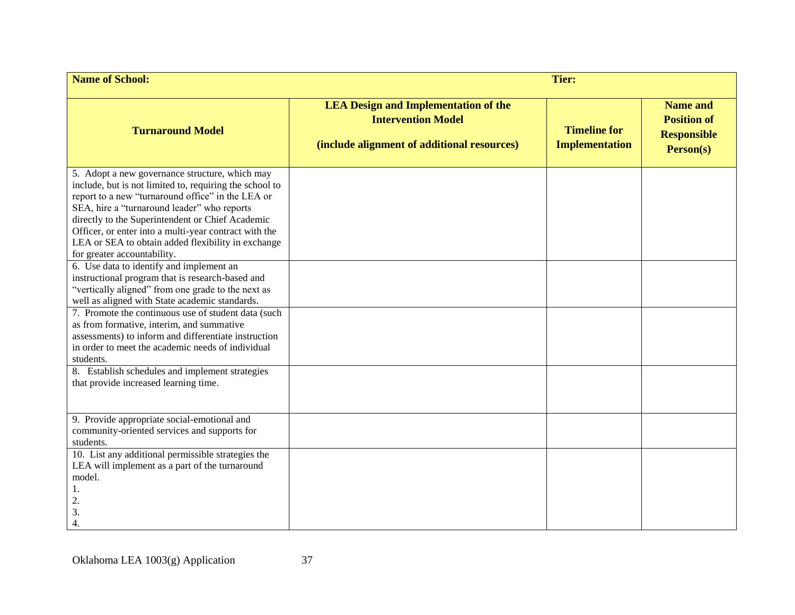| <b>Name of School:</b>                                                                                                                                                                                                                                                                                                                                                                                                                                      | <b>Tier:</b>                                                                                                            |                                              |                                                                          |
|-------------------------------------------------------------------------------------------------------------------------------------------------------------------------------------------------------------------------------------------------------------------------------------------------------------------------------------------------------------------------------------------------------------------------------------------------------------|-------------------------------------------------------------------------------------------------------------------------|----------------------------------------------|--------------------------------------------------------------------------|
| <b>Turnaround Model</b>                                                                                                                                                                                                                                                                                                                                                                                                                                     | <b>LEA Design and Implementation of the</b><br><b>Intervention Model</b><br>(include alignment of additional resources) | <b>Timeline for</b><br><b>Implementation</b> | <b>Name and</b><br><b>Position of</b><br><b>Responsible</b><br>Person(s) |
| 5. Adopt a new governance structure, which may<br>include, but is not limited to, requiring the school to<br>report to a new "turnaround office" in the LEA or<br>SEA, hire a "turnaround leader" who reports<br>directly to the Superintendent or Chief Academic<br>Officer, or enter into a multi-year contract with the<br>LEA or SEA to obtain added flexibility in exchange<br>for greater accountability.<br>6. Use data to identify and implement an |                                                                                                                         |                                              |                                                                          |
| instructional program that is research-based and<br>"vertically aligned" from one grade to the next as<br>well as aligned with State academic standards.                                                                                                                                                                                                                                                                                                    |                                                                                                                         |                                              |                                                                          |
| 7. Promote the continuous use of student data (such<br>as from formative, interim, and summative<br>assessments) to inform and differentiate instruction<br>in order to meet the academic needs of individual<br>students.                                                                                                                                                                                                                                  |                                                                                                                         |                                              |                                                                          |
| 8. Establish schedules and implement strategies<br>that provide increased learning time.                                                                                                                                                                                                                                                                                                                                                                    |                                                                                                                         |                                              |                                                                          |
| 9. Provide appropriate social-emotional and<br>community-oriented services and supports for<br>students.                                                                                                                                                                                                                                                                                                                                                    |                                                                                                                         |                                              |                                                                          |
| 10. List any additional permissible strategies the<br>LEA will implement as a part of the turnaround<br>model.<br>1.<br>2.<br>3.<br>4.                                                                                                                                                                                                                                                                                                                      |                                                                                                                         |                                              |                                                                          |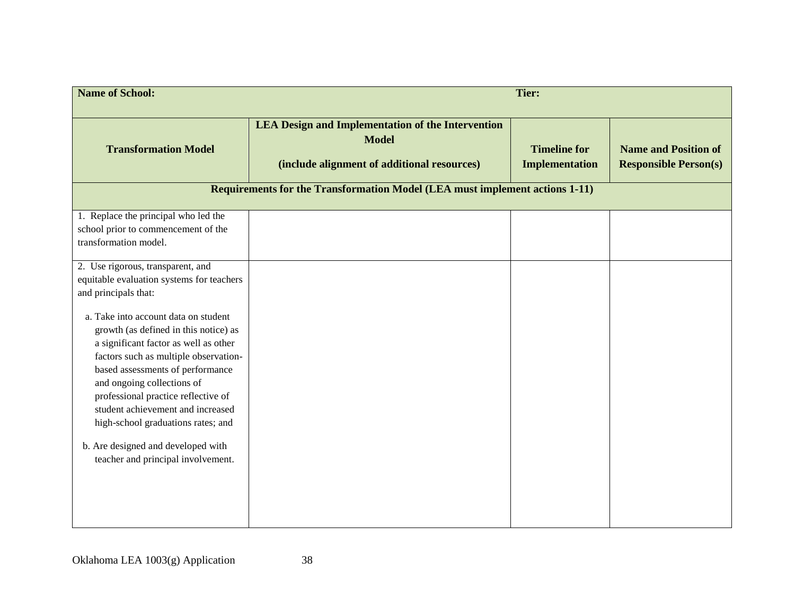| <b>Name of School:</b>                                                                                                                                          | Tier:                                                                                                                   |                                       |                                                             |
|-----------------------------------------------------------------------------------------------------------------------------------------------------------------|-------------------------------------------------------------------------------------------------------------------------|---------------------------------------|-------------------------------------------------------------|
| <b>Transformation Model</b>                                                                                                                                     | <b>LEA Design and Implementation of the Intervention</b><br><b>Model</b><br>(include alignment of additional resources) | <b>Timeline for</b><br>Implementation | <b>Name and Position of</b><br><b>Responsible Person(s)</b> |
|                                                                                                                                                                 | <b>Requirements for the Transformation Model (LEA must implement actions 1-11)</b>                                      |                                       |                                                             |
| 1. Replace the principal who led the<br>school prior to commencement of the<br>transformation model.                                                            |                                                                                                                         |                                       |                                                             |
| 2. Use rigorous, transparent, and<br>equitable evaluation systems for teachers<br>and principals that:                                                          |                                                                                                                         |                                       |                                                             |
| a. Take into account data on student<br>growth (as defined in this notice) as<br>a significant factor as well as other<br>factors such as multiple observation- |                                                                                                                         |                                       |                                                             |
| based assessments of performance<br>and ongoing collections of<br>professional practice reflective of                                                           |                                                                                                                         |                                       |                                                             |
| student achievement and increased<br>high-school graduations rates; and<br>b. Are designed and developed with                                                   |                                                                                                                         |                                       |                                                             |
| teacher and principal involvement.                                                                                                                              |                                                                                                                         |                                       |                                                             |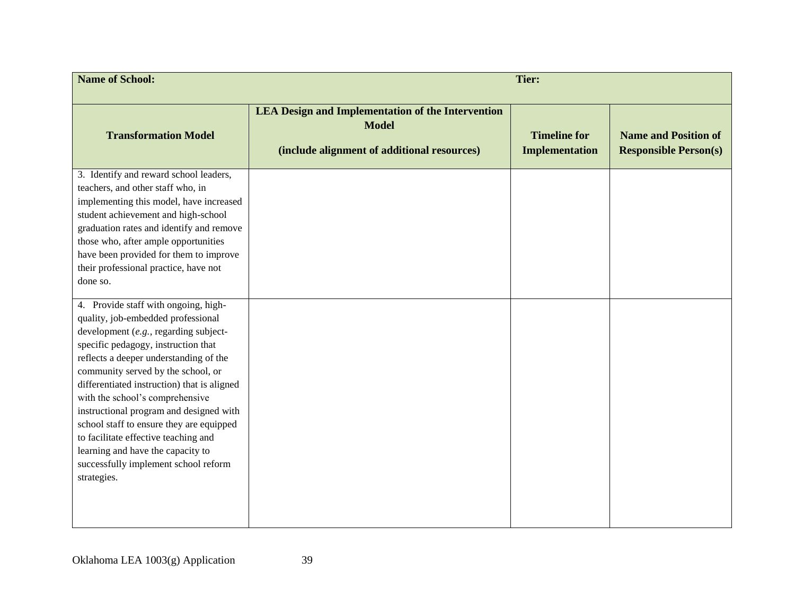| <b>Name of School:</b>                                                                                                                                                                                                                                                                                                                                                                                                                                                                                                                                  | <b>Tier:</b>                                                                                                            |                                              |                                                             |
|---------------------------------------------------------------------------------------------------------------------------------------------------------------------------------------------------------------------------------------------------------------------------------------------------------------------------------------------------------------------------------------------------------------------------------------------------------------------------------------------------------------------------------------------------------|-------------------------------------------------------------------------------------------------------------------------|----------------------------------------------|-------------------------------------------------------------|
| <b>Transformation Model</b>                                                                                                                                                                                                                                                                                                                                                                                                                                                                                                                             | <b>LEA Design and Implementation of the Intervention</b><br><b>Model</b><br>(include alignment of additional resources) | <b>Timeline for</b><br><b>Implementation</b> | <b>Name and Position of</b><br><b>Responsible Person(s)</b> |
| 3. Identify and reward school leaders,<br>teachers, and other staff who, in<br>implementing this model, have increased<br>student achievement and high-school<br>graduation rates and identify and remove<br>those who, after ample opportunities<br>have been provided for them to improve<br>their professional practice, have not<br>done so.                                                                                                                                                                                                        |                                                                                                                         |                                              |                                                             |
| 4. Provide staff with ongoing, high-<br>quality, job-embedded professional<br>development (e.g., regarding subject-<br>specific pedagogy, instruction that<br>reflects a deeper understanding of the<br>community served by the school, or<br>differentiated instruction) that is aligned<br>with the school's comprehensive<br>instructional program and designed with<br>school staff to ensure they are equipped<br>to facilitate effective teaching and<br>learning and have the capacity to<br>successfully implement school reform<br>strategies. |                                                                                                                         |                                              |                                                             |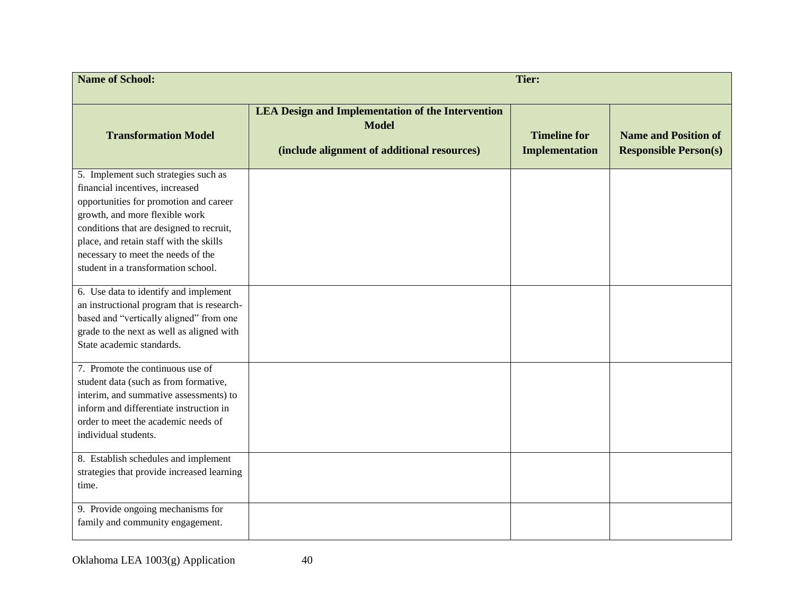| <b>Name of School:</b><br><b>Tier:</b>                                                                                                                                                                                                                                                                                                                           |                                                                                                                         |                                              |                                                             |  |  |
|------------------------------------------------------------------------------------------------------------------------------------------------------------------------------------------------------------------------------------------------------------------------------------------------------------------------------------------------------------------|-------------------------------------------------------------------------------------------------------------------------|----------------------------------------------|-------------------------------------------------------------|--|--|
| <b>Transformation Model</b>                                                                                                                                                                                                                                                                                                                                      | <b>LEA Design and Implementation of the Intervention</b><br><b>Model</b><br>(include alignment of additional resources) | <b>Timeline for</b><br><b>Implementation</b> | <b>Name and Position of</b><br><b>Responsible Person(s)</b> |  |  |
| 5. Implement such strategies such as<br>financial incentives, increased<br>opportunities for promotion and career<br>growth, and more flexible work<br>conditions that are designed to recruit,<br>place, and retain staff with the skills<br>necessary to meet the needs of the<br>student in a transformation school.<br>6. Use data to identify and implement |                                                                                                                         |                                              |                                                             |  |  |
| an instructional program that is research-<br>based and "vertically aligned" from one<br>grade to the next as well as aligned with<br>State academic standards.<br>7. Promote the continuous use of                                                                                                                                                              |                                                                                                                         |                                              |                                                             |  |  |
| student data (such as from formative,<br>interim, and summative assessments) to<br>inform and differentiate instruction in<br>order to meet the academic needs of<br>individual students.                                                                                                                                                                        |                                                                                                                         |                                              |                                                             |  |  |
| 8. Establish schedules and implement<br>strategies that provide increased learning<br>time.<br>9. Provide ongoing mechanisms for<br>family and community engagement.                                                                                                                                                                                             |                                                                                                                         |                                              |                                                             |  |  |
|                                                                                                                                                                                                                                                                                                                                                                  |                                                                                                                         |                                              |                                                             |  |  |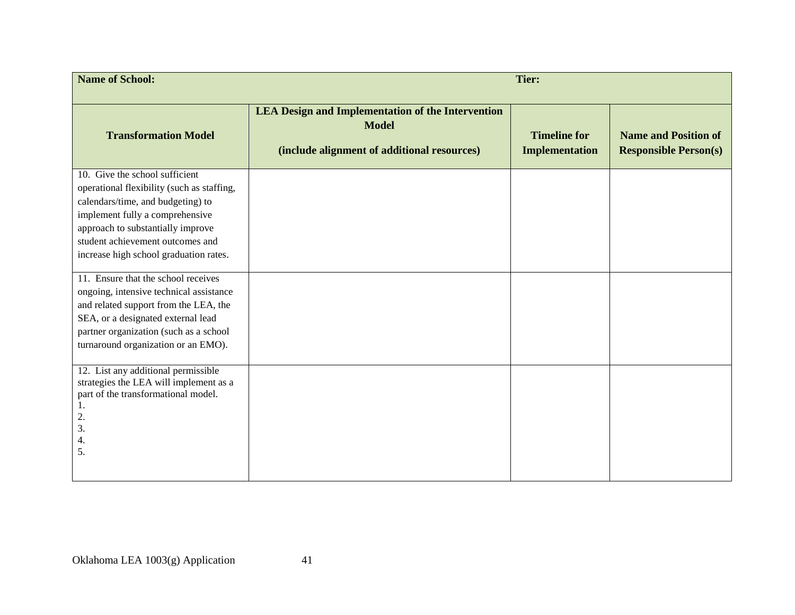| <b>Name of School:</b>                                                                                                                                                                                                                                                  | <b>Tier:</b>                                                                                                            |                                       |                                                             |  |
|-------------------------------------------------------------------------------------------------------------------------------------------------------------------------------------------------------------------------------------------------------------------------|-------------------------------------------------------------------------------------------------------------------------|---------------------------------------|-------------------------------------------------------------|--|
| <b>Transformation Model</b>                                                                                                                                                                                                                                             | <b>LEA Design and Implementation of the Intervention</b><br><b>Model</b><br>(include alignment of additional resources) | <b>Timeline for</b><br>Implementation | <b>Name and Position of</b><br><b>Responsible Person(s)</b> |  |
| 10. Give the school sufficient<br>operational flexibility (such as staffing,<br>calendars/time, and budgeting) to<br>implement fully a comprehensive<br>approach to substantially improve<br>student achievement outcomes and<br>increase high school graduation rates. |                                                                                                                         |                                       |                                                             |  |
| 11. Ensure that the school receives<br>ongoing, intensive technical assistance<br>and related support from the LEA, the<br>SEA, or a designated external lead<br>partner organization (such as a school<br>turnaround organization or an EMO).                          |                                                                                                                         |                                       |                                                             |  |
| 12. List any additional permissible<br>strategies the LEA will implement as a<br>part of the transformational model.<br>1.<br>2.<br>3.<br>4.<br>5.                                                                                                                      |                                                                                                                         |                                       |                                                             |  |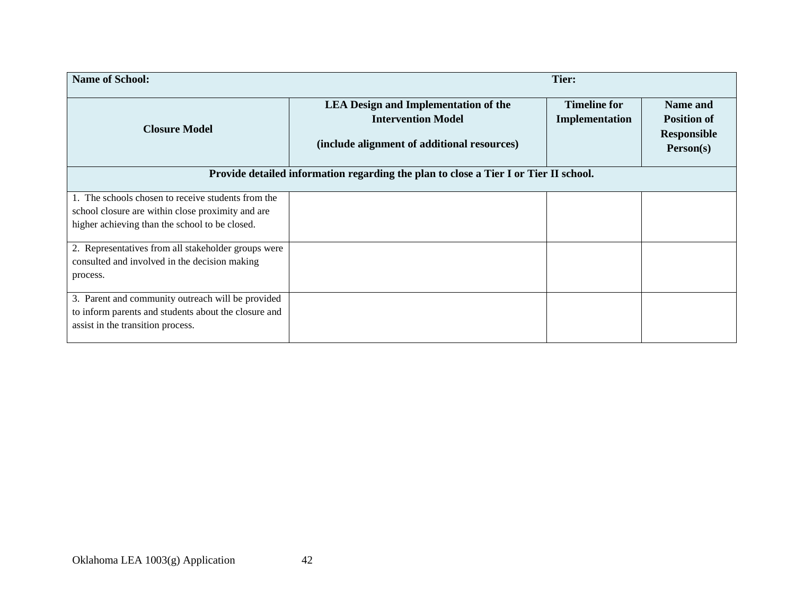| <b>Name of School:</b>                               |                                                                                                                         | Tier:                                 |                                                                   |
|------------------------------------------------------|-------------------------------------------------------------------------------------------------------------------------|---------------------------------------|-------------------------------------------------------------------|
| <b>Closure Model</b>                                 | <b>LEA Design and Implementation of the</b><br><b>Intervention Model</b><br>(include alignment of additional resources) | <b>Timeline for</b><br>Implementation | Name and<br><b>Position of</b><br><b>Responsible</b><br>Person(s) |
|                                                      | Provide detailed information regarding the plan to close a Tier I or Tier II school.                                    |                                       |                                                                   |
| 1. The schools chosen to receive students from the   |                                                                                                                         |                                       |                                                                   |
| school closure are within close proximity and are    |                                                                                                                         |                                       |                                                                   |
| higher achieving than the school to be closed.       |                                                                                                                         |                                       |                                                                   |
| 2. Representatives from all stakeholder groups were  |                                                                                                                         |                                       |                                                                   |
| consulted and involved in the decision making        |                                                                                                                         |                                       |                                                                   |
| process.                                             |                                                                                                                         |                                       |                                                                   |
| 3. Parent and community outreach will be provided    |                                                                                                                         |                                       |                                                                   |
| to inform parents and students about the closure and |                                                                                                                         |                                       |                                                                   |
| assist in the transition process.                    |                                                                                                                         |                                       |                                                                   |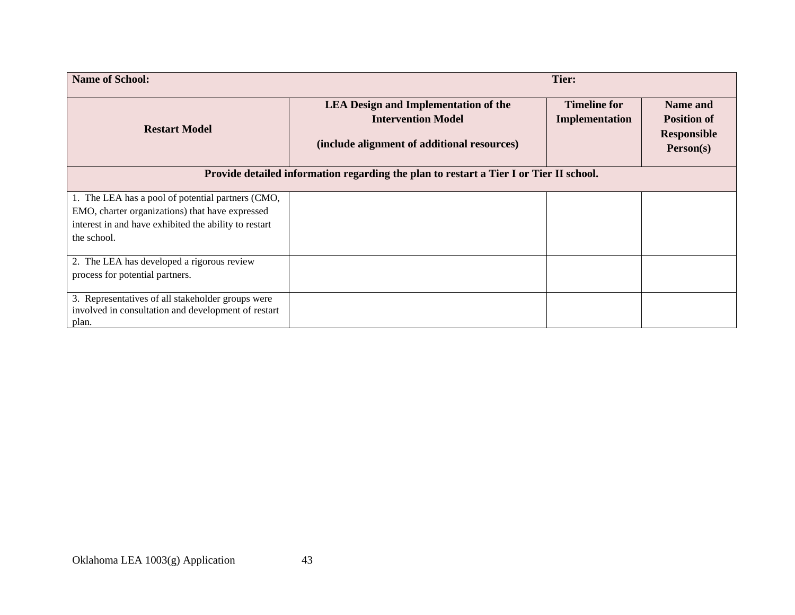| <b>Name of School:</b>                                                                 |                                                                                                                         | Tier:                                 |                                                                   |
|----------------------------------------------------------------------------------------|-------------------------------------------------------------------------------------------------------------------------|---------------------------------------|-------------------------------------------------------------------|
| <b>Restart Model</b>                                                                   | <b>LEA Design and Implementation of the</b><br><b>Intervention Model</b><br>(include alignment of additional resources) | <b>Timeline for</b><br>Implementation | Name and<br><b>Position of</b><br><b>Responsible</b><br>Person(s) |
| Provide detailed information regarding the plan to restart a Tier I or Tier II school. |                                                                                                                         |                                       |                                                                   |
| 1. The LEA has a pool of potential partners (CMO,                                      |                                                                                                                         |                                       |                                                                   |
| EMO, charter organizations) that have expressed                                        |                                                                                                                         |                                       |                                                                   |
| interest in and have exhibited the ability to restart<br>the school.                   |                                                                                                                         |                                       |                                                                   |
| 2. The LEA has developed a rigorous review                                             |                                                                                                                         |                                       |                                                                   |
| process for potential partners.                                                        |                                                                                                                         |                                       |                                                                   |
| 3. Representatives of all stakeholder groups were                                      |                                                                                                                         |                                       |                                                                   |
| involved in consultation and development of restart<br>plan.                           |                                                                                                                         |                                       |                                                                   |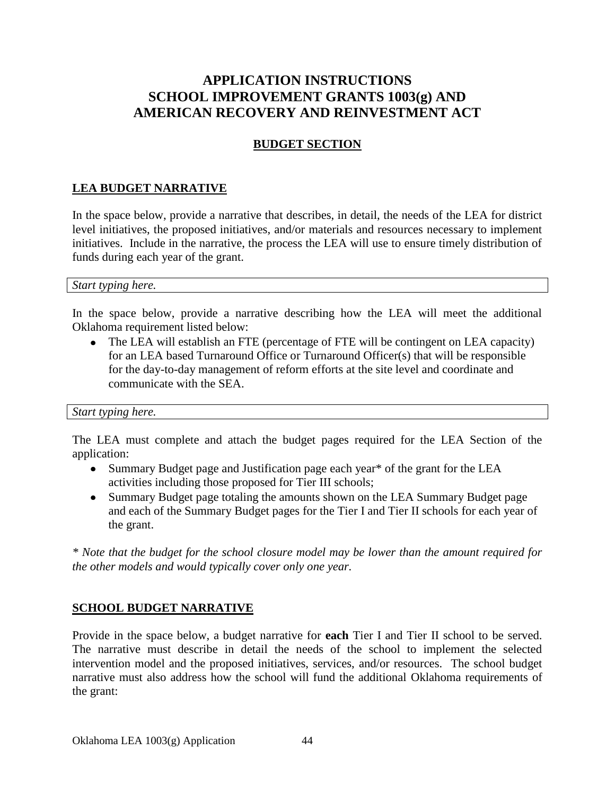# **APPLICATION INSTRUCTIONS SCHOOL IMPROVEMENT GRANTS 1003(g) AND AMERICAN RECOVERY AND REINVESTMENT ACT**

### **BUDGET SECTION**

### **LEA BUDGET NARRATIVE**

In the space below, provide a narrative that describes, in detail, the needs of the LEA for district level initiatives, the proposed initiatives, and/or materials and resources necessary to implement initiatives. Include in the narrative, the process the LEA will use to ensure timely distribution of funds during each year of the grant.

#### *Start typing here.*

In the space below, provide a narrative describing how the LEA will meet the additional Oklahoma requirement listed below:

• The LEA will establish an FTE (percentage of FTE will be contingent on LEA capacity) for an LEA based Turnaround Office or Turnaround Officer(s) that will be responsible for the day-to-day management of reform efforts at the site level and coordinate and communicate with the SEA.

#### *Start typing here.*

The LEA must complete and attach the budget pages required for the LEA Section of the application:

- Summary Budget page and Justification page each year\* of the grant for the LEA activities including those proposed for Tier III schools;
- Summary Budget page totaling the amounts shown on the LEA Summary Budget page and each of the Summary Budget pages for the Tier I and Tier II schools for each year of the grant.

*\* Note that the budget for the school closure model may be lower than the amount required for the other models and would typically cover only one year.*

### **SCHOOL BUDGET NARRATIVE**

Provide in the space below, a budget narrative for **each** Tier I and Tier II school to be served. The narrative must describe in detail the needs of the school to implement the selected intervention model and the proposed initiatives, services, and/or resources. The school budget narrative must also address how the school will fund the additional Oklahoma requirements of the grant: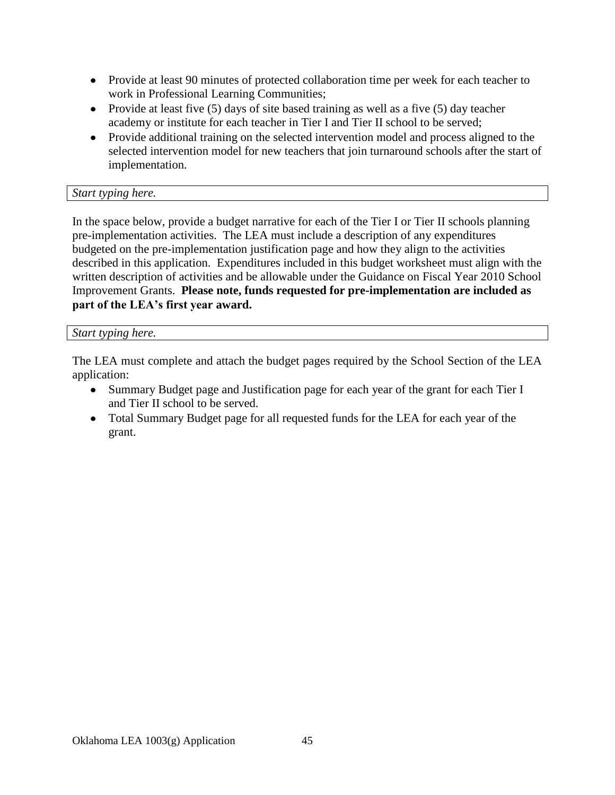- Provide at least 90 minutes of protected collaboration time per week for each teacher to work in Professional Learning Communities;
- Provide at least five  $(5)$  days of site based training as well as a five  $(5)$  day teacher academy or institute for each teacher in Tier I and Tier II school to be served;
- Provide additional training on the selected intervention model and process aligned to the selected intervention model for new teachers that join turnaround schools after the start of implementation.

### *Start typing here.*

In the space below, provide a budget narrative for each of the Tier I or Tier II schools planning pre-implementation activities. The LEA must include a description of any expenditures budgeted on the pre-implementation justification page and how they align to the activities described in this application. Expenditures included in this budget worksheet must align with the written description of activities and be allowable under the Guidance on Fiscal Year 2010 School Improvement Grants. **Please note, funds requested for pre-implementation are included as part of the LEA's first year award.**

#### *Start typing here.*

The LEA must complete and attach the budget pages required by the School Section of the LEA application:

- Summary Budget page and Justification page for each year of the grant for each Tier I and Tier II school to be served.
- Total Summary Budget page for all requested funds for the LEA for each year of the grant.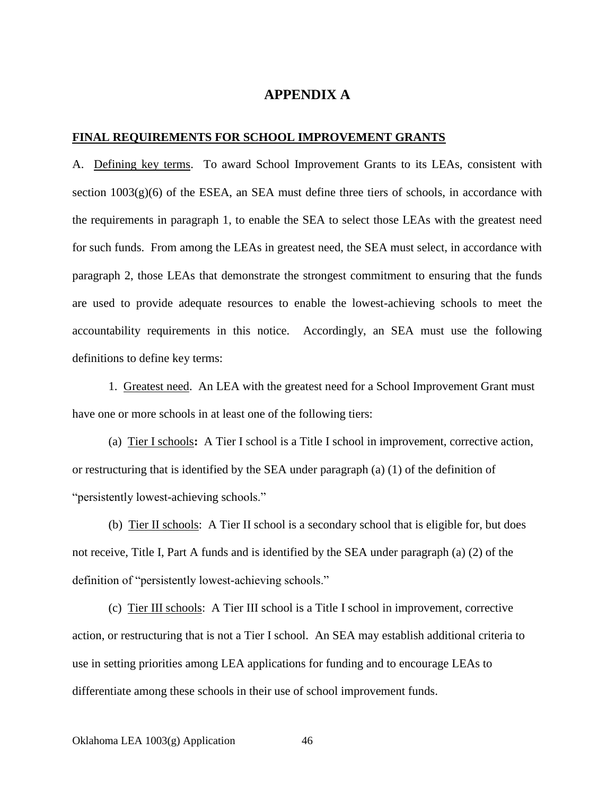#### **APPENDIX A**

#### **FINAL REQUIREMENTS FOR SCHOOL IMPROVEMENT GRANTS**

A. Defining key terms. To award School Improvement Grants to its LEAs, consistent with section  $1003(g)(6)$  of the ESEA, an SEA must define three tiers of schools, in accordance with the requirements in paragraph 1, to enable the SEA to select those LEAs with the greatest need for such funds. From among the LEAs in greatest need, the SEA must select, in accordance with paragraph 2, those LEAs that demonstrate the strongest commitment to ensuring that the funds are used to provide adequate resources to enable the lowest-achieving schools to meet the accountability requirements in this notice. Accordingly, an SEA must use the following definitions to define key terms:

1. Greatest need. An LEA with the greatest need for a School Improvement Grant must have one or more schools in at least one of the following tiers:

(a) Tier I schools**:** A Tier I school is a Title I school in improvement, corrective action, or restructuring that is identified by the SEA under paragraph (a) (1) of the definition of "persistently lowest-achieving schools."

(b) Tier II schools: A Tier II school is a secondary school that is eligible for, but does not receive, Title I, Part A funds and is identified by the SEA under paragraph (a) (2) of the definition of "persistently lowest-achieving schools."

(c) Tier III schools: A Tier III school is a Title I school in improvement, corrective action, or restructuring that is not a Tier I school. An SEA may establish additional criteria to use in setting priorities among LEA applications for funding and to encourage LEAs to differentiate among these schools in their use of school improvement funds.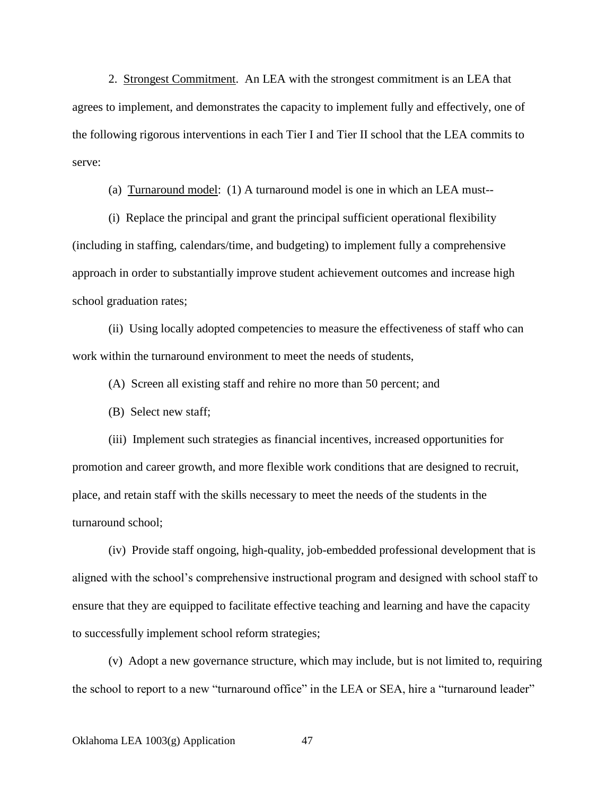2. Strongest Commitment. An LEA with the strongest commitment is an LEA that agrees to implement, and demonstrates the capacity to implement fully and effectively, one of the following rigorous interventions in each Tier I and Tier II school that the LEA commits to serve:

(a) Turnaround model: (1) A turnaround model is one in which an LEA must--

(i) Replace the principal and grant the principal sufficient operational flexibility (including in staffing, calendars/time, and budgeting) to implement fully a comprehensive approach in order to substantially improve student achievement outcomes and increase high school graduation rates;

(ii) Using locally adopted competencies to measure the effectiveness of staff who can work within the turnaround environment to meet the needs of students,

(A) Screen all existing staff and rehire no more than 50 percent; and

(B) Select new staff;

(iii) Implement such strategies as financial incentives, increased opportunities for promotion and career growth, and more flexible work conditions that are designed to recruit, place, and retain staff with the skills necessary to meet the needs of the students in the turnaround school;

(iv) Provide staff ongoing, high-quality, job-embedded professional development that is aligned with the school's comprehensive instructional program and designed with school staff to ensure that they are equipped to facilitate effective teaching and learning and have the capacity to successfully implement school reform strategies;

(v) Adopt a new governance structure, which may include, but is not limited to, requiring the school to report to a new "turnaround office" in the LEA or SEA, hire a "turnaround leader"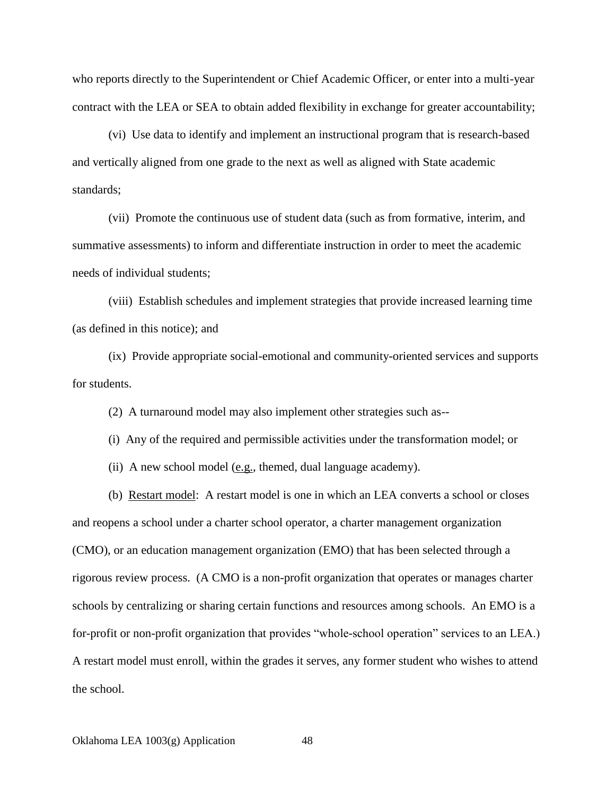who reports directly to the Superintendent or Chief Academic Officer, or enter into a multi-year contract with the LEA or SEA to obtain added flexibility in exchange for greater accountability;

(vi) Use data to identify and implement an instructional program that is research-based and vertically aligned from one grade to the next as well as aligned with State academic standards;

(vii) Promote the continuous use of student data (such as from formative, interim, and summative assessments) to inform and differentiate instruction in order to meet the academic needs of individual students;

(viii) Establish schedules and implement strategies that provide increased learning time (as defined in this notice); and

(ix) Provide appropriate social-emotional and community-oriented services and supports for students.

(2) A turnaround model may also implement other strategies such as--

(i) Any of the required and permissible activities under the transformation model; or

(ii) A new school model (e.g., themed, dual language academy).

(b) Restart model: A restart model is one in which an LEA converts a school or closes and reopens a school under a charter school operator, a charter management organization (CMO), or an education management organization (EMO) that has been selected through a rigorous review process. (A CMO is a non-profit organization that operates or manages charter schools by centralizing or sharing certain functions and resources among schools. An EMO is a for-profit or non-profit organization that provides "whole-school operation" services to an LEA.) A restart model must enroll, within the grades it serves, any former student who wishes to attend the school.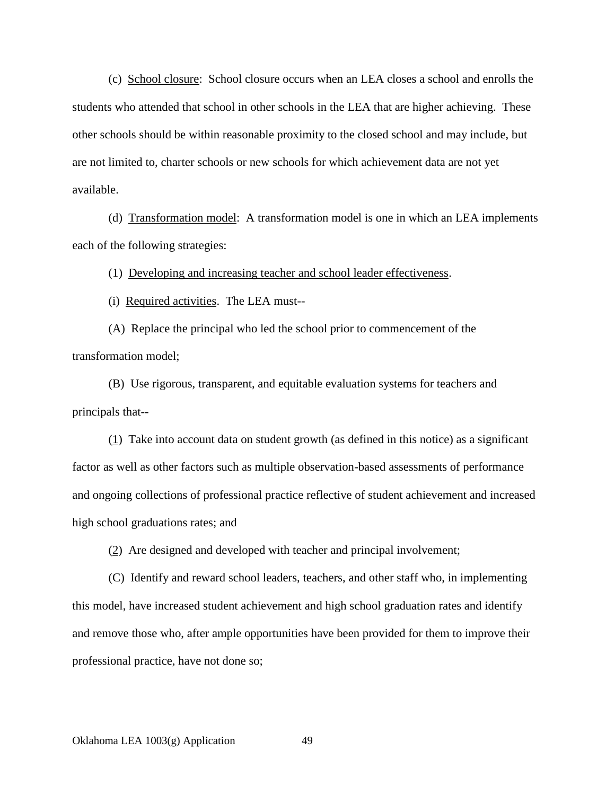(c) School closure: School closure occurs when an LEA closes a school and enrolls the students who attended that school in other schools in the LEA that are higher achieving. These other schools should be within reasonable proximity to the closed school and may include, but are not limited to, charter schools or new schools for which achievement data are not yet available.

(d) Transformation model: A transformation model is one in which an LEA implements each of the following strategies:

(1) Developing and increasing teacher and school leader effectiveness.

(i) Required activities. The LEA must--

(A) Replace the principal who led the school prior to commencement of the transformation model;

(B) Use rigorous, transparent, and equitable evaluation systems for teachers and principals that--

 $(1)$  Take into account data on student growth (as defined in this notice) as a significant factor as well as other factors such as multiple observation-based assessments of performance and ongoing collections of professional practice reflective of student achievement and increased high school graduations rates; and

(2) Are designed and developed with teacher and principal involvement;

(C) Identify and reward school leaders, teachers, and other staff who, in implementing this model, have increased student achievement and high school graduation rates and identify and remove those who, after ample opportunities have been provided for them to improve their professional practice, have not done so;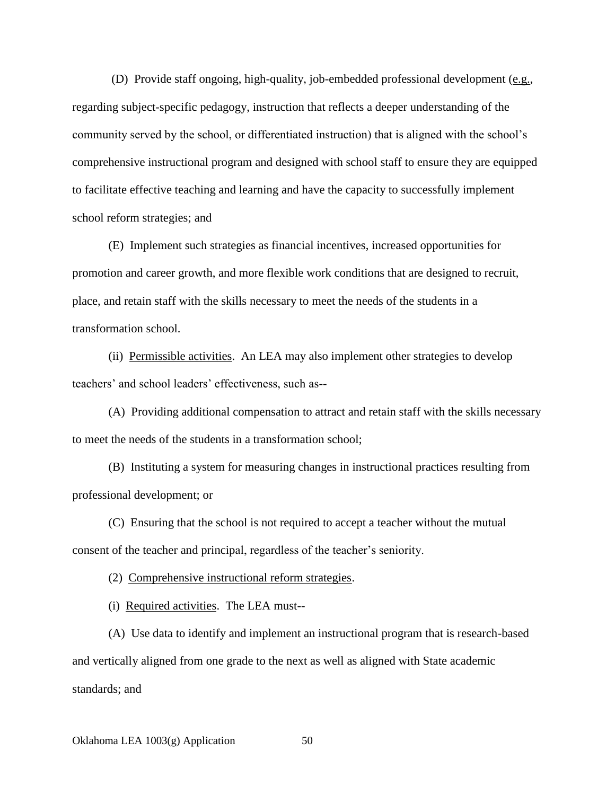(D) Provide staff ongoing, high-quality, job-embedded professional development (e.g., regarding subject-specific pedagogy, instruction that reflects a deeper understanding of the community served by the school, or differentiated instruction) that is aligned with the school's comprehensive instructional program and designed with school staff to ensure they are equipped to facilitate effective teaching and learning and have the capacity to successfully implement school reform strategies; and

(E) Implement such strategies as financial incentives, increased opportunities for promotion and career growth, and more flexible work conditions that are designed to recruit, place, and retain staff with the skills necessary to meet the needs of the students in a transformation school.

(ii) Permissible activities. An LEA may also implement other strategies to develop teachers' and school leaders' effectiveness, such as--

(A) Providing additional compensation to attract and retain staff with the skills necessary to meet the needs of the students in a transformation school;

(B) Instituting a system for measuring changes in instructional practices resulting from professional development; or

(C) Ensuring that the school is not required to accept a teacher without the mutual consent of the teacher and principal, regardless of the teacher's seniority.

(2) Comprehensive instructional reform strategies.

(i) Required activities. The LEA must--

(A) Use data to identify and implement an instructional program that is research-based and vertically aligned from one grade to the next as well as aligned with State academic standards; and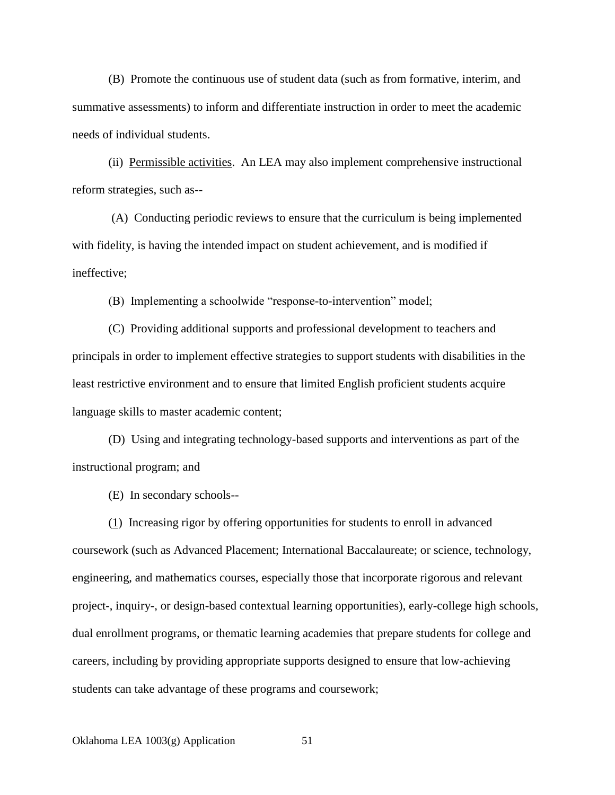(B) Promote the continuous use of student data (such as from formative, interim, and summative assessments) to inform and differentiate instruction in order to meet the academic needs of individual students.

(ii) Permissible activities. An LEA may also implement comprehensive instructional reform strategies, such as--

(A) Conducting periodic reviews to ensure that the curriculum is being implemented with fidelity, is having the intended impact on student achievement, and is modified if ineffective;

(B) Implementing a schoolwide "response-to-intervention" model;

(C) Providing additional supports and professional development to teachers and principals in order to implement effective strategies to support students with disabilities in the least restrictive environment and to ensure that limited English proficient students acquire language skills to master academic content;

(D) Using and integrating technology-based supports and interventions as part of the instructional program; and

(E) In secondary schools--

(1) Increasing rigor by offering opportunities for students to enroll in advanced coursework (such as Advanced Placement; International Baccalaureate; or science, technology, engineering, and mathematics courses, especially those that incorporate rigorous and relevant project-, inquiry-, or design-based contextual learning opportunities), early-college high schools, dual enrollment programs, or thematic learning academies that prepare students for college and careers, including by providing appropriate supports designed to ensure that low-achieving students can take advantage of these programs and coursework;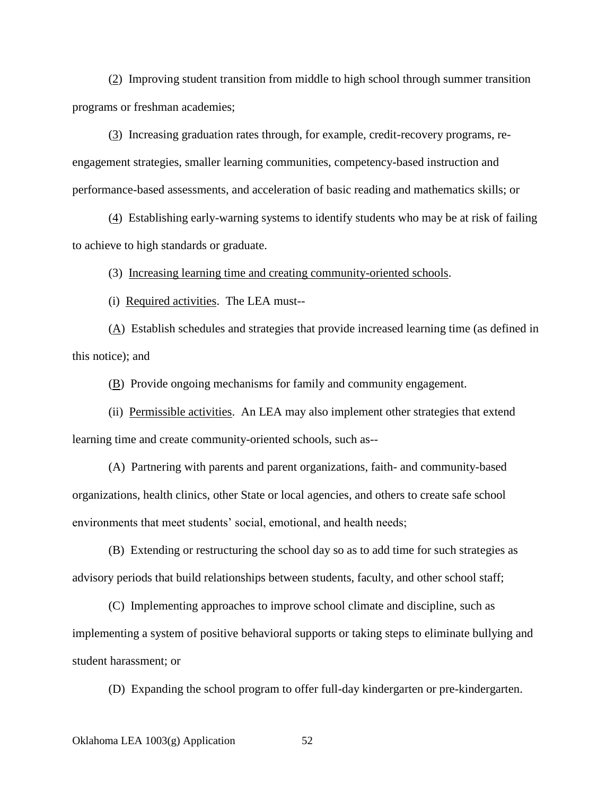(2) Improving student transition from middle to high school through summer transition programs or freshman academies;

(3) Increasing graduation rates through, for example, credit-recovery programs, reengagement strategies, smaller learning communities, competency-based instruction and performance-based assessments, and acceleration of basic reading and mathematics skills; or

(4) Establishing early-warning systems to identify students who may be at risk of failing to achieve to high standards or graduate.

(3) Increasing learning time and creating community-oriented schools.

(i) Required activities. The LEA must--

(A) Establish schedules and strategies that provide increased learning time (as defined in this notice); and

(B) Provide ongoing mechanisms for family and community engagement.

(ii) Permissible activities. An LEA may also implement other strategies that extend learning time and create community-oriented schools, such as--

(A) Partnering with parents and parent organizations, faith- and community-based organizations, health clinics, other State or local agencies, and others to create safe school environments that meet students' social, emotional, and health needs;

(B) Extending or restructuring the school day so as to add time for such strategies as advisory periods that build relationships between students, faculty, and other school staff;

(C) Implementing approaches to improve school climate and discipline, such as implementing a system of positive behavioral supports or taking steps to eliminate bullying and student harassment; or

(D) Expanding the school program to offer full-day kindergarten or pre-kindergarten.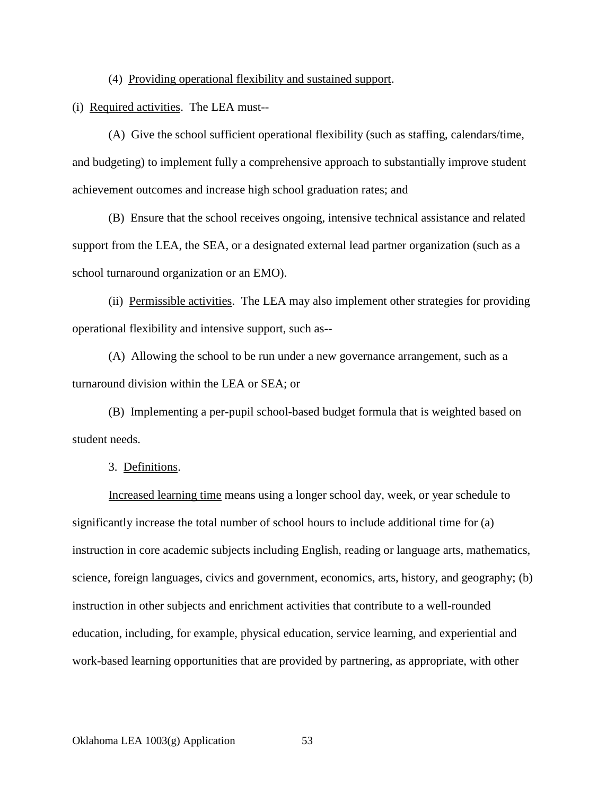(4) Providing operational flexibility and sustained support.

(i) Required activities. The LEA must--

(A) Give the school sufficient operational flexibility (such as staffing, calendars/time, and budgeting) to implement fully a comprehensive approach to substantially improve student achievement outcomes and increase high school graduation rates; and

(B) Ensure that the school receives ongoing, intensive technical assistance and related support from the LEA, the SEA, or a designated external lead partner organization (such as a school turnaround organization or an EMO).

(ii) Permissible activities. The LEA may also implement other strategies for providing operational flexibility and intensive support, such as--

(A) Allowing the school to be run under a new governance arrangement, such as a turnaround division within the LEA or SEA; or

(B) Implementing a per-pupil school-based budget formula that is weighted based on student needs.

3. Definitions.

Increased learning time means using a longer school day, week, or year schedule to significantly increase the total number of school hours to include additional time for (a) instruction in core academic subjects including English, reading or language arts, mathematics, science, foreign languages, civics and government, economics, arts, history, and geography; (b) instruction in other subjects and enrichment activities that contribute to a well-rounded education, including, for example, physical education, service learning, and experiential and work-based learning opportunities that are provided by partnering, as appropriate, with other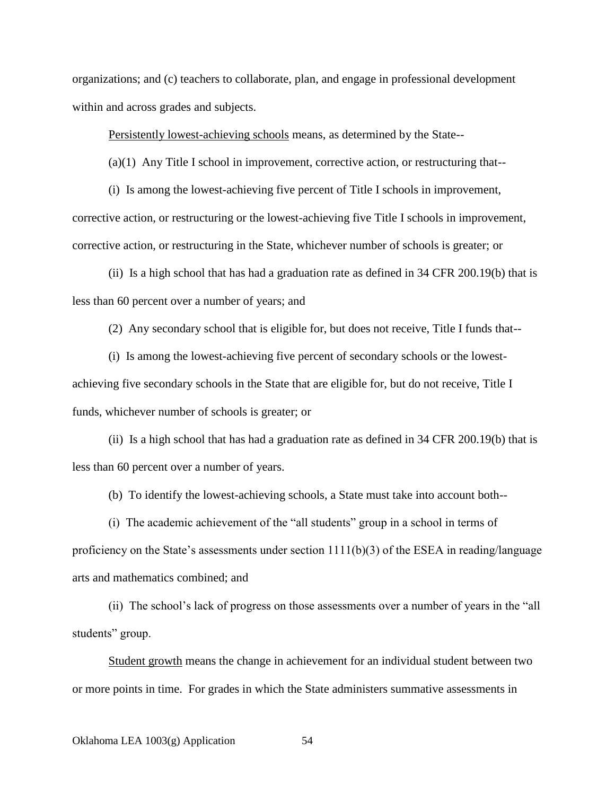organizations; and (c) teachers to collaborate, plan, and engage in professional development within and across grades and subjects.

Persistently lowest-achieving schools means, as determined by the State--

(a)(1) Any Title I school in improvement, corrective action, or restructuring that--

(i) Is among the lowest-achieving five percent of Title I schools in improvement, corrective action, or restructuring or the lowest-achieving five Title I schools in improvement, corrective action, or restructuring in the State, whichever number of schools is greater; or

(ii) Is a high school that has had a graduation rate as defined in 34 CFR 200.19(b) that is less than 60 percent over a number of years; and

(2) Any secondary school that is eligible for, but does not receive, Title I funds that--

(i) Is among the lowest-achieving five percent of secondary schools or the lowestachieving five secondary schools in the State that are eligible for, but do not receive, Title I funds, whichever number of schools is greater; or

(ii) Is a high school that has had a graduation rate as defined in 34 CFR 200.19(b) that is less than 60 percent over a number of years.

(b) To identify the lowest-achieving schools, a State must take into account both--

(i) The academic achievement of the "all students" group in a school in terms of proficiency on the State's assessments under section 1111(b)(3) of the ESEA in reading/language arts and mathematics combined; and

(ii) The school's lack of progress on those assessments over a number of years in the "all students" group.

Student growth means the change in achievement for an individual student between two or more points in time. For grades in which the State administers summative assessments in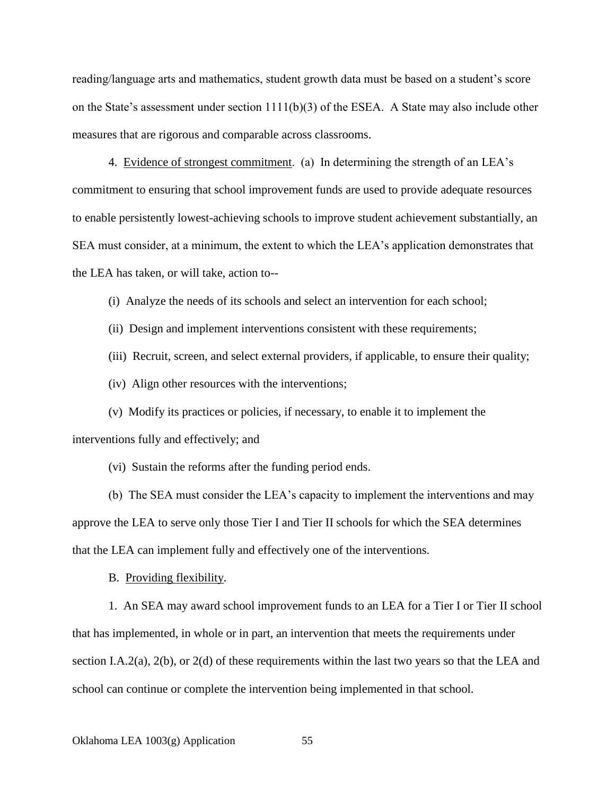reading/language arts and mathematics, student growth data must be based on a student's score on the State's assessment under section  $1111(b)(3)$  of the ESEA. A State may also include other measures that are rigorous and comparable across classrooms.

4. Evidence of strongest commitment. (a) In determining the strength of an LEA's commitment to ensuring that school improvement funds are used to provide adequate resources to enable persistently lowest-achieving schools to improve student achievement substantially, an SEA must consider, at a minimum, the extent to which the LEA's application demonstrates that the LEA has taken, or will take, action to--

(i) Analyze the needs of its schools and select an intervention for each school;

(ii) Design and implement interventions consistent with these requirements;

(iii) Recruit, screen, and select external providers, if applicable, to ensure their quality;

(iv) Align other resources with the interventions;

(v) Modify its practices or policies, if necessary, to enable it to implement the interventions fully and effectively; and

(vi) Sustain the reforms after the funding period ends.

(b) The SEA must consider the LEA's capacity to implement the interventions and may approve the LEA to serve only those Tier I and Tier II schools for which the SEA determines that the LEA can implement fully and effectively one of the interventions.

B. Providing flexibility.

1. An SEA may award school improvement funds to an LEA for a Tier I or Tier II school that has implemented, in whole or in part, an intervention that meets the requirements under section I.A.2(a), 2(b), or 2(d) of these requirements within the last two years so that the LEA and school can continue or complete the intervention being implemented in that school.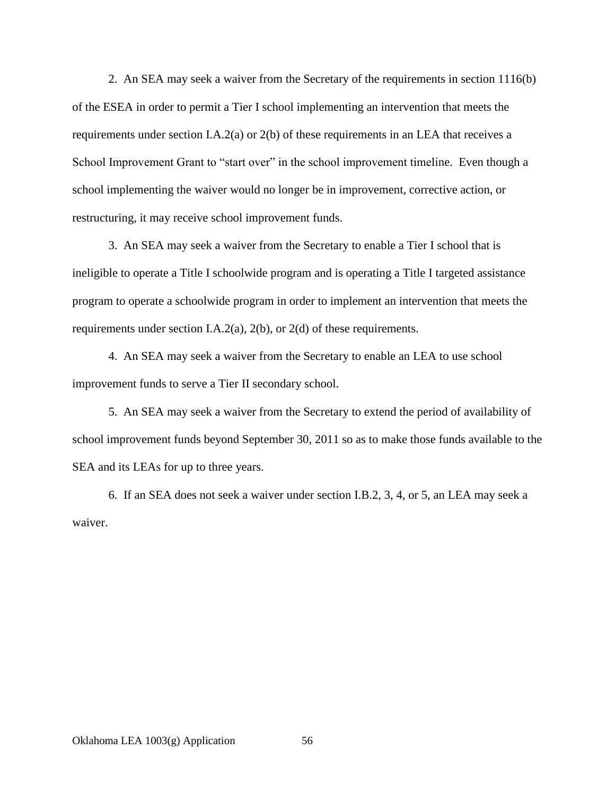2. An SEA may seek a waiver from the Secretary of the requirements in section 1116(b) of the ESEA in order to permit a Tier I school implementing an intervention that meets the requirements under section I.A.2(a) or 2(b) of these requirements in an LEA that receives a School Improvement Grant to "start over" in the school improvement timeline. Even though a school implementing the waiver would no longer be in improvement, corrective action, or restructuring, it may receive school improvement funds.

3. An SEA may seek a waiver from the Secretary to enable a Tier I school that is ineligible to operate a Title I schoolwide program and is operating a Title I targeted assistance program to operate a schoolwide program in order to implement an intervention that meets the requirements under section I.A.2(a), 2(b), or 2(d) of these requirements.

4. An SEA may seek a waiver from the Secretary to enable an LEA to use school improvement funds to serve a Tier II secondary school.

5. An SEA may seek a waiver from the Secretary to extend the period of availability of school improvement funds beyond September 30, 2011 so as to make those funds available to the SEA and its LEAs for up to three years.

6. If an SEA does not seek a waiver under section I.B.2, 3, 4, or 5, an LEA may seek a waiver.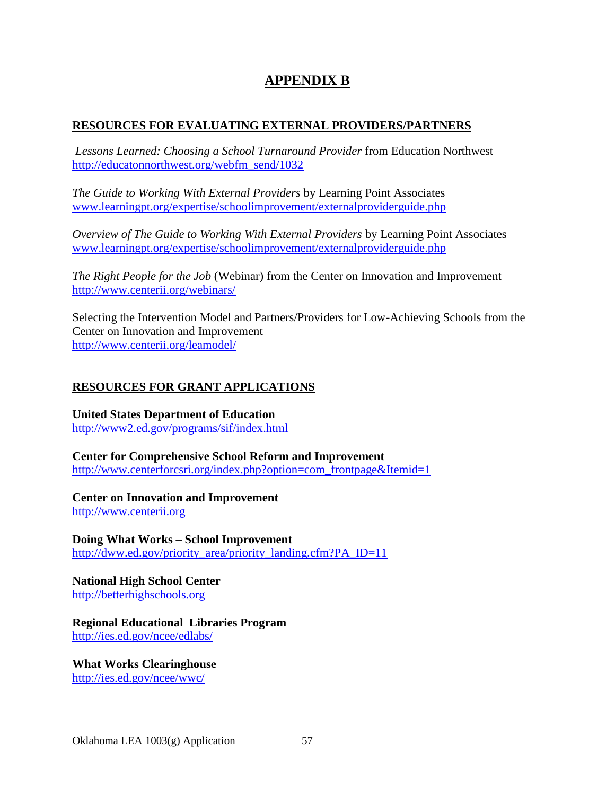# **APPENDIX B**

### **RESOURCES FOR EVALUATING EXTERNAL PROVIDERS/PARTNERS**

*Lessons Learned: Choosing a School Turnaround Provider* from Education Northwest [http://educatonnorthwest.org/webfm\\_send/1032](http://educatonnorthwest.org/webfm_send/1032)

*The Guide to Working With External Providers* by Learning Point Associates [www.learningpt.org/expertise/schoolimprovement/externalproviderguide.php](http://www.learningpt.org/expertise/schoolimprovement/externalproviderguide.php)

*Overview of The Guide to Working With External Providers* by Learning Point Associates [www.learningpt.org/expertise/schoolimprovement/externalproviderguide.php](http://www.learningpt.org/expertise/schoolimprovement/externalproviderguide.php)

*The Right People for the Job* (Webinar) from the Center on Innovation and Improvement <http://www.centerii.org/webinars/>

Selecting the Intervention Model and Partners/Providers for Low-Achieving Schools from the Center on Innovation and Improvement <http://www.centerii.org/leamodel/>

# **RESOURCES FOR GRANT APPLICATIONS**

**United States Department of Education** <http://www2.ed.gov/programs/sif/index.html>

**Center for Comprehensive School Reform and Improvement** [http://www.centerforcsri.org/index.php?option=com\\_frontpage&Itemid=1](http://www.centerforcsri.org/index.php?option=com_frontpage&Itemid=1)

**Center on Innovation and Improvement** [http://www.centerii.org](http://www.centerii.org/)

**Doing What Works – School Improvement**

[http://dww.ed.gov/priority\\_area/priority\\_landing.cfm?PA\\_ID=11](http://dww.ed.gov/priority_area/priority_landing.cfm?PA_ID=11)

**National High School Center** [http://betterhighschools.org](http://betterhighschools.org/)

**Regional Educational Libraries Program** <http://ies.ed.gov/ncee/edlabs/>

**What Works Clearinghouse**

<http://ies.ed.gov/ncee/wwc/>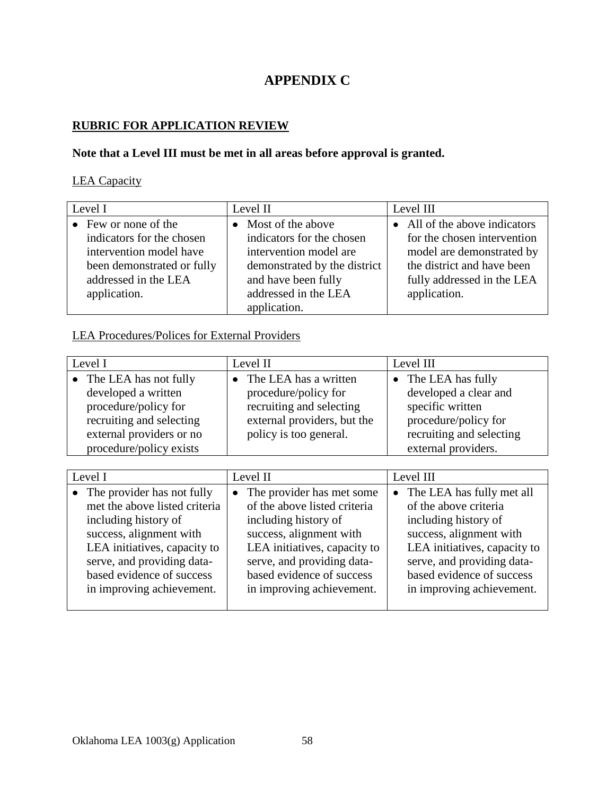# **APPENDIX C**

### **RUBRIC FOR APPLICATION REVIEW**

## **Note that a Level III must be met in all areas before approval is granted.**

## LEA Capacity

| Level I                      | Level II                     | Level III                     |
|------------------------------|------------------------------|-------------------------------|
| $\bullet$ Few or none of the | • Most of the above          | • All of the above indicators |
| indicators for the chosen    | indicators for the chosen    | for the chosen intervention   |
| intervention model have      | intervention model are       | model are demonstrated by     |
| been demonstrated or fully   | demonstrated by the district | the district and have been    |
| addressed in the LEA         | and have been fully          | fully addressed in the LEA    |
| application.                 | addressed in the LEA         | application.                  |
|                              | application.                 |                               |

### LEA Procedures/Polices for External Providers

| Level I                  | Level II                    | Level III                |
|--------------------------|-----------------------------|--------------------------|
| • The LEA has not fully  | The LEA has a written       | • The LEA has fully      |
| developed a written      | procedure/policy for        | developed a clear and    |
| procedure/policy for     | recruiting and selecting    | specific written         |
| recruiting and selecting | external providers, but the | procedure/policy for     |
| external providers or no | policy is too general.      | recruiting and selecting |
| procedure/policy exists  |                             | external providers.      |

| Level I |                               | Level II                     |  | Level III                    |  |
|---------|-------------------------------|------------------------------|--|------------------------------|--|
|         | • The provider has not fully  | • The provider has met some  |  | The LEA has fully met all    |  |
|         | met the above listed criteria | of the above listed criteria |  | of the above criteria        |  |
|         | including history of          | including history of         |  | including history of         |  |
|         | success, alignment with       | success, alignment with      |  | success, alignment with      |  |
|         | LEA initiatives, capacity to  | LEA initiatives, capacity to |  | LEA initiatives, capacity to |  |
|         | serve, and providing data-    | serve, and providing data-   |  | serve, and providing data-   |  |
|         | based evidence of success     | based evidence of success    |  | based evidence of success    |  |
|         | in improving achievement.     | in improving achievement.    |  | in improving achievement.    |  |
|         |                               |                              |  |                              |  |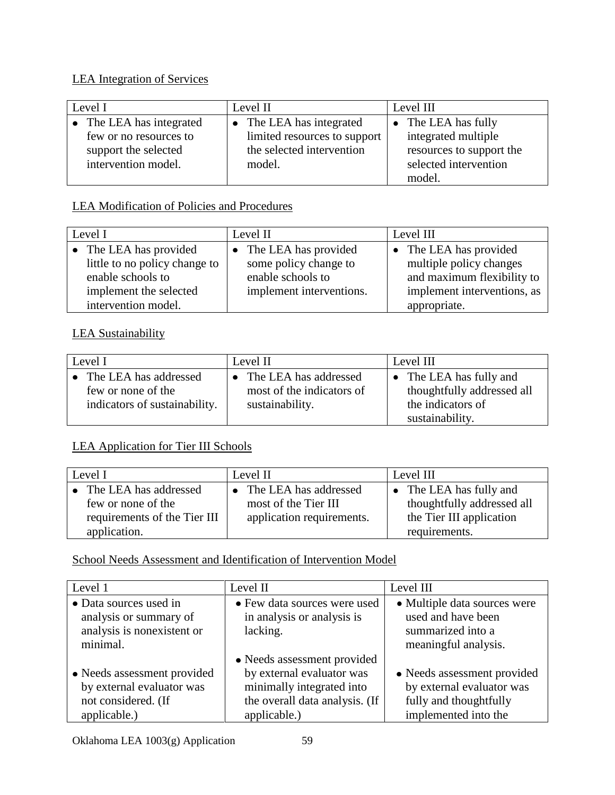# LEA Integration of Services

| Level I                  | Level II                     | Level III                   |
|--------------------------|------------------------------|-----------------------------|
| • The LEA has integrated | • The LEA has integrated     | $\bullet$ The LEA has fully |
| few or no resources to   | limited resources to support | integrated multiple         |
| support the selected     | the selected intervention    | resources to support the    |
| intervention model.      | model.                       | selected intervention       |
|                          |                              | model.                      |

# LEA Modification of Policies and Procedures

| Level I                       | Level II                 | Level III                   |
|-------------------------------|--------------------------|-----------------------------|
| • The LEA has provided        | • The LEA has provided   | The LEA has provided        |
| little to no policy change to | some policy change to    | multiple policy changes     |
| enable schools to             | enable schools to        | and maximum flexibility to  |
| implement the selected        | implement interventions. | implement interventions, as |
| intervention model.           |                          | appropriate.                |

# LEA Sustainability

| Level I                       | Level II                           | Level III                  |
|-------------------------------|------------------------------------|----------------------------|
| • The LEA has addressed       | The LEA has addressed<br>$\bullet$ | • The LEA has fully and    |
| few or none of the            | most of the indicators of          | thoughtfully addressed all |
| indicators of sustainability. | sustainability.                    | the indicators of          |
|                               |                                    | sustainability.            |

# LEA Application for Tier III Schools

| Level I                      |           | Level II                  | Level III                  |
|------------------------------|-----------|---------------------------|----------------------------|
| • The LEA has addressed      | $\bullet$ | The LEA has addressed     | • The LEA has fully and    |
| few or none of the           |           | most of the Tier III      | thoughtfully addressed all |
| requirements of the Tier III |           | application requirements. | the Tier III application   |
| application.                 |           |                           | requirements.              |

# School Needs Assessment and Identification of Intervention Model

| Level 1                     | Level II                       | Level III                    |
|-----------------------------|--------------------------------|------------------------------|
| • Data sources used in      | • Few data sources were used   | • Multiple data sources were |
| analysis or summary of      | in analysis or analysis is     | used and have been           |
| analysis is nonexistent or  | lacking.                       | summarized into a            |
| minimal.                    |                                | meaningful analysis.         |
|                             | • Needs assessment provided    |                              |
| • Needs assessment provided | by external evaluator was      | • Needs assessment provided  |
| by external evaluator was   | minimally integrated into      | by external evaluator was    |
| not considered. (If         | the overall data analysis. (If | fully and thoughtfully       |
| applicable.)                | applicable.)                   | implemented into the         |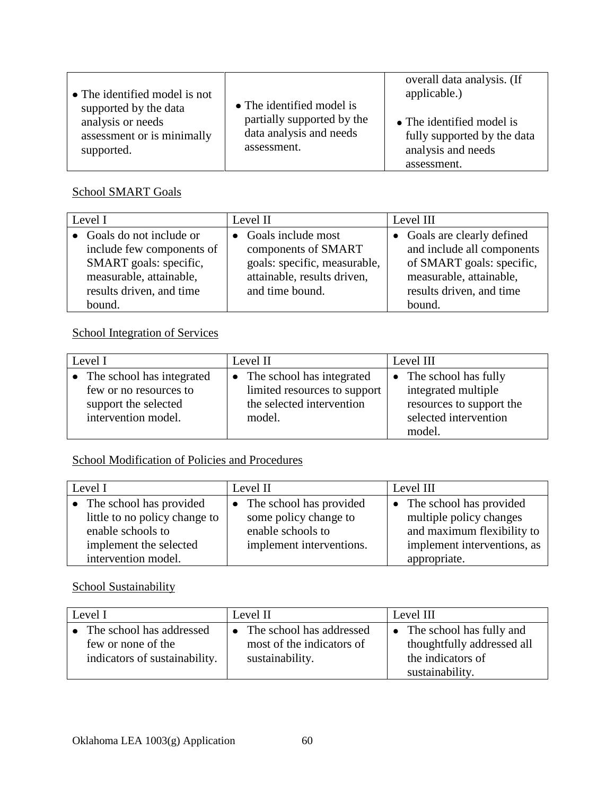| • The identified model is not<br>supported by the data<br>analysis or needs<br>assessment or is minimally<br>supported. | • The identified model is<br>partially supported by the<br>data analysis and needs<br>assessment. | overall data analysis. (If<br>applicable.)<br>• The identified model is<br>fully supported by the data<br>analysis and needs |
|-------------------------------------------------------------------------------------------------------------------------|---------------------------------------------------------------------------------------------------|------------------------------------------------------------------------------------------------------------------------------|
|                                                                                                                         |                                                                                                   | assessment.                                                                                                                  |

## School SMART Goals

| Level I |                           | Level II |                              | Level III |                             |
|---------|---------------------------|----------|------------------------------|-----------|-----------------------------|
|         | • Goals do not include or |          | • Goals include most         |           | • Goals are clearly defined |
|         | include few components of |          | components of SMART          |           | and include all components  |
|         | SMART goals: specific,    |          | goals: specific, measurable, |           | of SMART goals: specific,   |
|         | measurable, attainable,   |          | attainable, results driven,  |           | measurable, attainable,     |
|         | results driven, and time  |          | and time bound.              |           | results driven, and time    |
|         | bound.                    |          |                              |           | bound.                      |

# School Integration of Services

| Level I                     | Level II<br>Level III        |                          |
|-----------------------------|------------------------------|--------------------------|
| • The school has integrated | The school has integrated    | • The school has fully   |
| few or no resources to      | limited resources to support | integrated multiple      |
| support the selected        | the selected intervention    | resources to support the |
| intervention model.         | model.                       | selected intervention    |
|                             |                              | model.                   |

# School Modification of Policies and Procedures

| Level I                                                    | Level II                                           | Level III                                          |  |
|------------------------------------------------------------|----------------------------------------------------|----------------------------------------------------|--|
| • The school has provided<br>little to no policy change to | • The school has provided<br>some policy change to | The school has provided<br>multiple policy changes |  |
| enable schools to                                          | enable schools to                                  | and maximum flexibility to                         |  |
| implement the selected                                     | implement interventions.                           | implement interventions, as                        |  |
| intervention model.                                        |                                                    | appropriate.                                       |  |

# School Sustainability

| Level I                                                                         | Level II                                                                   | Level III                                                                                        |  |
|---------------------------------------------------------------------------------|----------------------------------------------------------------------------|--------------------------------------------------------------------------------------------------|--|
| The school has addressed<br>few or none of the<br>indicators of sustainability. | • The school has addressed<br>most of the indicators of<br>sustainability. | • The school has fully and<br>thoughtfully addressed all<br>the indicators of<br>sustainability. |  |